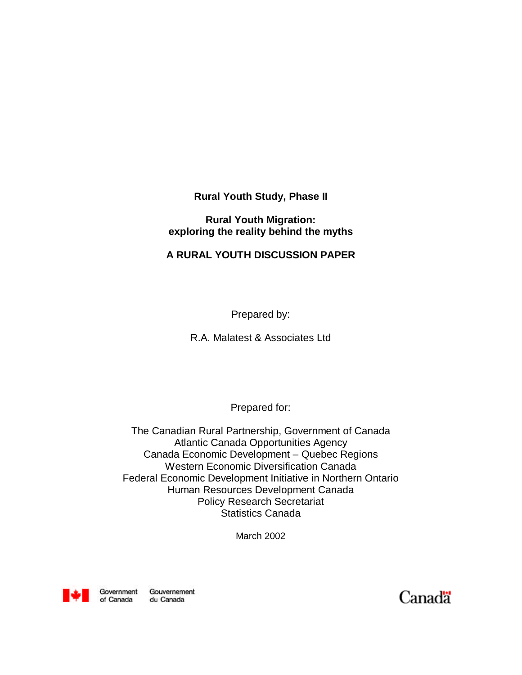**Rural Youth Study, Phase II**

**Rural Youth Migration: exploring the reality behind the myths**

## **A RURAL YOUTH DISCUSSION PAPER**

Prepared by:

R.A. Malatest & Associates Ltd

Prepared for:

The Canadian Rural Partnership, Government of Canada Atlantic Canada Opportunities Agency Canada Economic Development – Quebec Regions Western Economic Diversification Canada Federal Economic Development Initiative in Northern Ontario Human Resources Development Canada Policy Research Secretariat Statistics Canada

March 2002



Government Gouvernement of Canada du Canada

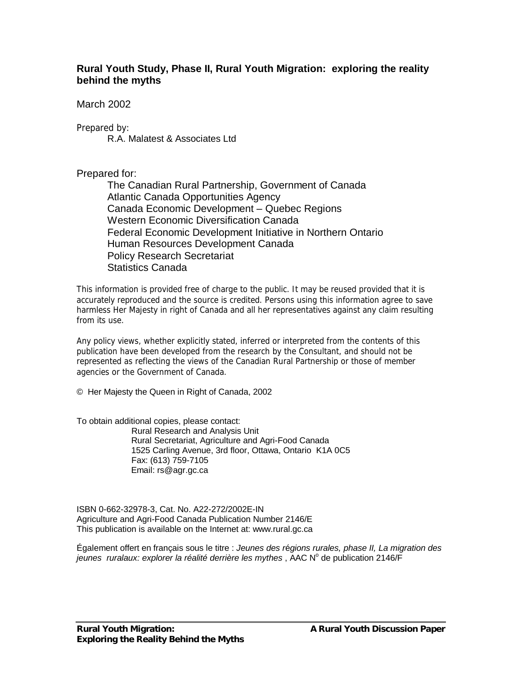## **Rural Youth Study, Phase II, Rural Youth Migration: exploring the reality behind the myths**

March 2002

Prepared by:

R.A. Malatest & Associates Ltd

#### Prepared for:

The Canadian Rural Partnership, Government of Canada Atlantic Canada Opportunities Agency Canada Economic Development – Quebec Regions Western Economic Diversification Canada Federal Economic Development Initiative in Northern Ontario Human Resources Development Canada Policy Research Secretariat Statistics Canada

*This information is provided free of charge to the public. It may be reused provided that it is accurately reproduced and the source is credited. Persons using this information agree to save harmless Her Majesty in right of Canada and all her representatives against any claim resulting from its use.*

*Any policy views, whether explicitly stated, inferred or interpreted from the contents of this publication have been developed from the research by the Consultant, and should not be represented as reflecting the views of the Canadian Rural Partnership or those of member agencies or the Government of Canada.*

© Her Majesty the Queen in Right of Canada, 2002

To obtain additional copies, please contact: Rural Research and Analysis Unit Rural Secretariat, Agriculture and Agri-Food Canada 1525 Carling Avenue, 3rd floor, Ottawa, Ontario K1A 0C5 Fax: (613) 759-7105 Email: rs@agr.gc.ca

ISBN 0-662-32978-3, Cat. No. A22-272/2002E-IN Agriculture and Agri-Food Canada Publication Number 2146/E This publication is available on the Internet at: www.rural.gc.ca

Également offert en français sous le titre : *Jeunes des r*é*gions rurales, phase II, La migration des* jeunes ruralaux: explorer la réalité derrière les mythes, AAC N° de publication 2146/F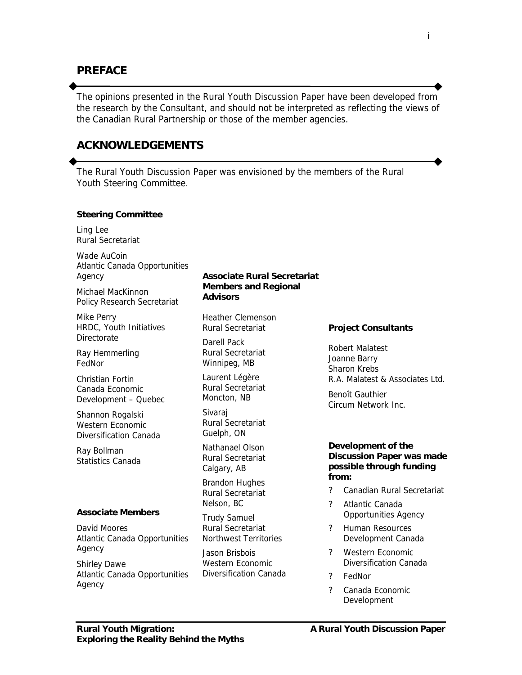## **PREFACE**

*The opinions presented in the Rural Youth Discussion Paper have been developed from the research by the Consultant, and should not be interpreted as reflecting the views of the Canadian Rural Partnership or those of the member agencies.*

#### **ACKNOWLEDGEMENTS**

*The Rural Youth Discussion Paper was envisioned by the members of the Rural Youth Steering Committee.*

#### **Steering Committee**

Ling Lee Rural Secretariat

Wade AuCoin Atlantic Canada Opportunities Agency

Michael MacKinnon Policy Research Secretariat

Mike Perry HRDC, Youth Initiatives **Directorate** 

Ray Hemmerling FedNor

Christian Fortin Canada Economic Development – Quebec

Shannon Rogalski Western Economic Diversification Canada

Ray Bollman Statistics Canada

#### **Associate Members**

David Moores Atlantic Canada Opportunities Agency

Shirley Dawe Atlantic Canada Opportunities Agency

#### **Associate Rural Secretariat Members and Regional Advisors**

Heather Clemenson Rural Secretariat

Darell Pack Rural Secretariat Winnipeg, MB

Laurent Légère Rural Secretariat Moncton, NB

Sivaraj Rural Secretariat Guelph, ON

Nathanael Olson Rural Secretariat Calgary, AB

Brandon Hughes Rural Secretariat Nelson, BC

Trudy Samuel Rural Secretariat Northwest Territories

Jason Brisbois Western Economic Diversification Canada

#### **Project Consultants**

Robert Malatest Joanne Barry Sharon Krebs R.A. Malatest & Associates Ltd.

Benoît Gauthier Circum Network Inc.

#### **Development of the Discussion Paper was made possible through funding from:**

- ? Canadian Rural Secretariat
- ? Atlantic Canada Opportunities Agency
- ? Human Resources Development Canada
- ? Western Economic Diversification Canada
- ? FedNor
- ? Canada Economic Development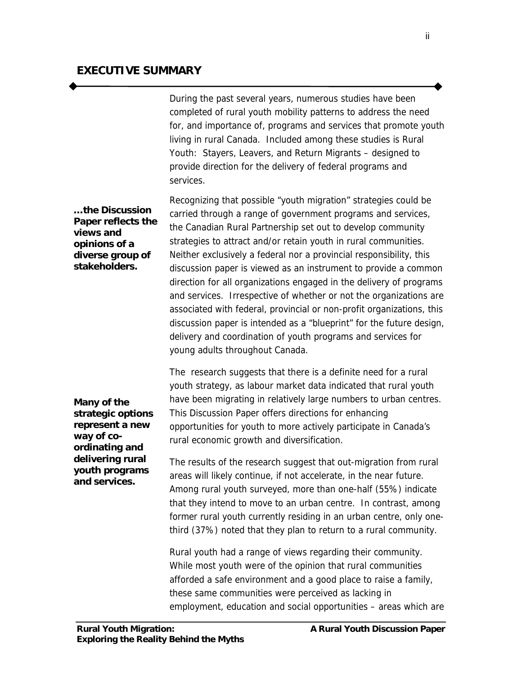During the past several years, numerous studies have been completed of rural youth mobility patterns to address the need for, and importance of, programs and services that promote youth living in rural Canada. Included among these studies is *Rural Youth: Stayers, Leavers, and Return Migrants* – designed to provide direction for the delivery of federal programs and services.

**… the** *Discussion Paper* **reflects the views and opinions of a diverse group of stakeholders.**

Recognizing that possible "youth migration" strategies could be carried through a range of government programs and services, the Canadian Rural Partnership set out to develop community strategies to attract and/or retain youth in rural communities. Neither exclusively a federal nor a provincial responsibility, this discussion paper is viewed as an instrument to provide a common direction for all organizations engaged in the delivery of programs and services. Irrespective of whether or not the organizations are associated with federal, provincial or non-profit organizations, this discussion paper is intended as a "blueprint" for the future design, delivery and coordination of youth programs and services for young adults throughout Canada.

**Many of the strategic options represent a new way of coordinating and delivering rural youth programs and services.**

The research suggests that there is a definite need for a rural youth strategy, as labour market data indicated that rural youth have been migrating in relatively large numbers to urban centres. This *Discussion Paper* offers directions for enhancing opportunities for youth to more actively participate in Canada's rural economic growth and diversification.

The results of the research suggest that out-migration from rural areas will likely continue, if not accelerate, in the near future. Among rural youth surveyed, more than one-half (55%) indicate that they intend to move to an urban centre. In contrast, among former rural youth currently residing in an urban centre, only onethird (37%) noted that they plan to return to a rural community.

Rural youth had a range of views regarding their community. While most youth were of the opinion that rural communities afforded a safe environment and a good place to raise a family, these same communities were perceived as lacking in employment, education and social opportunities – areas which are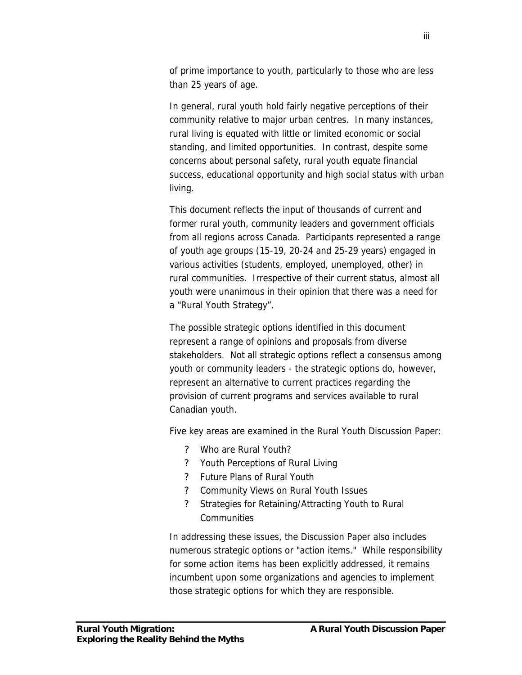of prime importance to youth, particularly to those who are less than 25 years of age.

In general, rural youth hold fairly negative perceptions of their community relative to major urban centres. In many instances, rural living is equated with little or limited economic or social standing, and limited opportunities. In contrast, despite some concerns about personal safety, rural youth equate financial success, educational opportunity and high social status with urban living.

This document reflects the input of thousands of current and former rural youth, community leaders and government officials from all regions across Canada. Participants represented a range of youth age groups (15-19, 20-24 and 25-29 years) engaged in various activities (students, employed, unemployed, other) in rural communities. Irrespective of their current status, almost all youth were unanimous in their opinion that there was a need for a "Rural Youth Strategy".

The possible strategic options identified in this document represent a range of opinions and proposals from diverse stakeholders. Not all strategic options reflect a consensus among youth or community leaders - the strategic options do, however, represent an alternative to current practices regarding the provision of current programs and services available to rural Canadian youth.

Five key areas are examined in the *Rural Youth Discussion Paper:*

- ? Who are Rural Youth?
- ? Youth Perceptions of Rural Living
- ? Future Plans of Rural Youth
- ? Community Views on Rural Youth Issues
- ? Strategies for Retaining/Attracting Youth to Rural **Communities**

In addressing these issues, the *Discussion Paper* also includes numerous strategic options or "action items." While responsibility for some action items has been explicitly addressed, it remains incumbent upon some organizations and agencies to implement those strategic options for which they are responsible.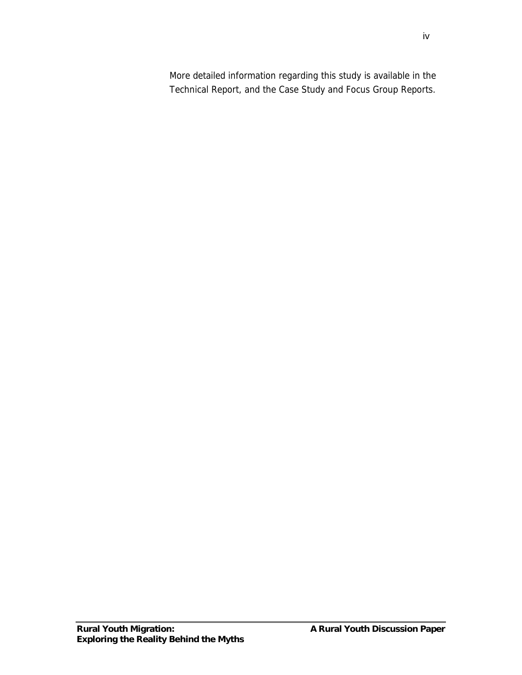More detailed information regarding this study is available in the Technical Report, and the Case Study and Focus Group Reports.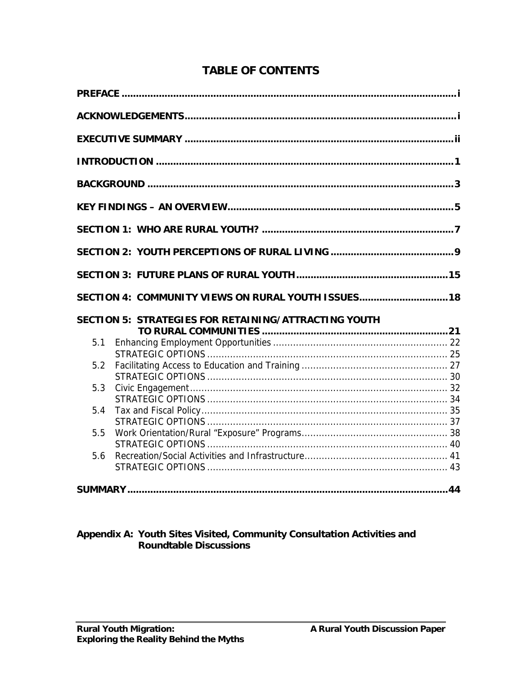|     | SECTION 4: COMMUNITY VIEWS ON RURAL YOUTH ISSUES 18  |  |
|-----|------------------------------------------------------|--|
|     | SECTION 5: STRATEGIES FOR RETAINING/ATTRACTING YOUTH |  |
| 5.1 |                                                      |  |
| 5.2 |                                                      |  |
| 5.3 |                                                      |  |
| 5.4 |                                                      |  |
| 5.5 |                                                      |  |
| 5.6 |                                                      |  |

# **TABLE OF CONTENTS**

# Appendix A: Youth Sites Visited, Community Consultation Activities and<br>Roundtable Discussions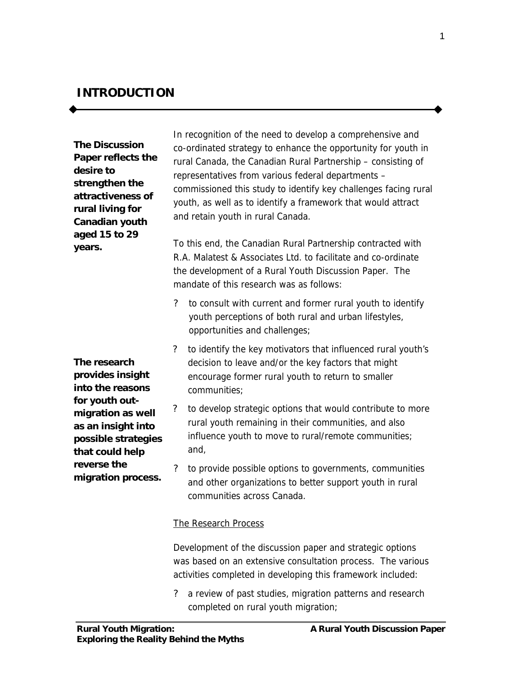## **INTRODUCTION**

**The** *Discussion Paper* **reflects the desire to strengthen the attractiveness of rural living for Canadian youth aged 15 to 29 years.**

**The research provides insight into the reasons for youth outmigration as well as an insight into possible strategies that could help reverse the migration process.**

In recognition of the need to develop a comprehensive and co-ordinated strategy to enhance the opportunity for youth in rural Canada, the Canadian Rural Partnership – consisting of representatives from various federal departments – commissioned this study to identify key challenges facing rural youth, as well as to identify a framework that would attract and retain youth in rural Canada.

To this end, the Canadian Rural Partnership contracted with R.A. Malatest & Associates Ltd. to facilitate and co-ordinate the development of a *Rural Youth Discussion Paper*. The mandate of this research was as follows:

- ? to consult with current and former rural youth to identify youth perceptions of both rural and urban lifestyles, opportunities and challenges;
- ? to identify the key motivators that influenced rural youth's decision to leave and/or the key factors that might encourage former rural youth to return to smaller communities;
- to develop strategic options that would contribute to more rural youth remaining in their communities, and also influence youth to move to rural/remote communities; and,
- to provide possible options to governments, communities and other organizations to better support youth in rural communities across Canada.

#### The Research Process

Development of the discussion paper and strategic options was based on an extensive consultation process. The various activities completed in developing this framework included:

? a review of past studies, migration patterns and research completed on rural youth migration;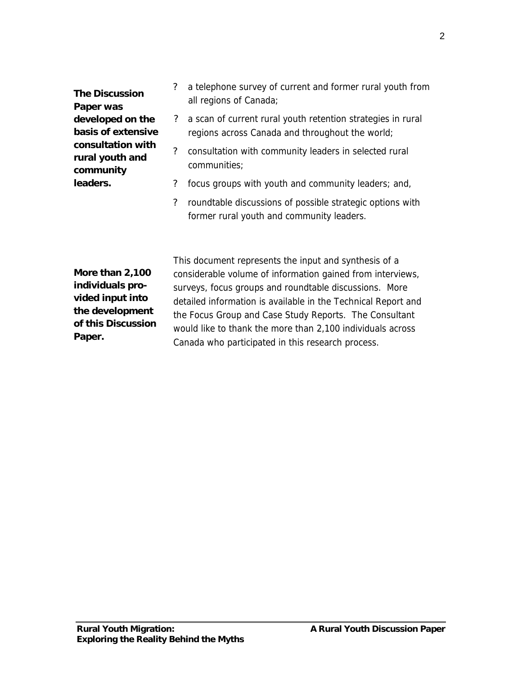**The** *Discussion Paper* **was developed on the basis of extensive consultation with rural youth and community leaders.**

- ? a telephone survey of current and former rural youth from all regions of Canada;
- ? a scan of current rural youth retention strategies in rural regions across Canada and throughout the world;
- ? consultation with community leaders in selected rural communities;
- ? focus groups with youth and community leaders; and,
- ? roundtable discussions of possible strategic options with former rural youth and community leaders.

**More than 2,100 individuals provided input into the development of this** *Discussion Paper***.**

This document represents the input and synthesis of a considerable volume of information gained from interviews, surveys, focus groups and roundtable discussions. More detailed information is available in the Technical Report and the Focus Group and Case Study Reports. The Consultant would like to thank the more than 2,100 individuals across Canada who participated in this research process.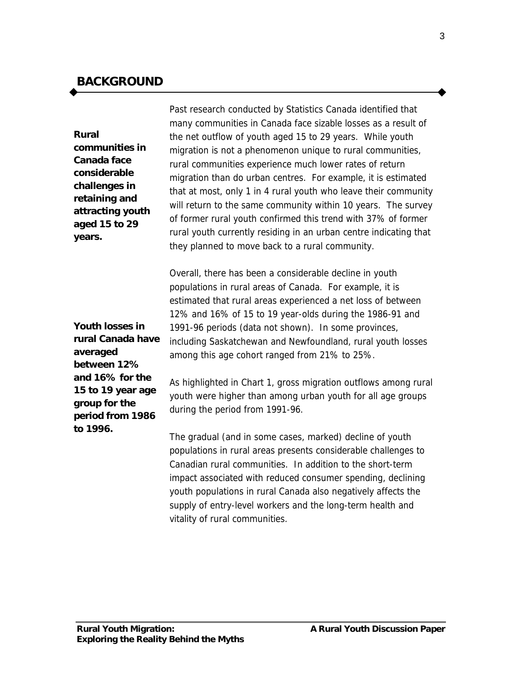## **BACKGROUND**

# **Rural communities in Canada face**

**considerable challenges in retaining and attracting youth aged 15 to 29 years.**

Past research conducted by Statistics Canada identified that many communities in Canada face sizable losses as a result of the net outflow of youth aged 15 to 29 years. While youth migration is not a phenomenon unique to rural communities, rural communities experience much lower rates of return migration than do urban centres. For example, it is estimated that at most, only 1 in 4 rural youth who leave their community will return to the same community within 10 years. The survey of former rural youth confirmed this trend with 37% of former rural youth currently residing in an urban centre indicating that they planned to move back to a rural community.

Overall, there has been a considerable decline in youth populations in rural areas of Canada. For example, it is estimated that rural areas experienced a net loss of between 12% and 16% of 15 to 19 year-olds during the 1986-91 and 1991-96 periods (data not shown). In some provinces, including Saskatchewan and Newfoundland, rural youth losses among this age cohort ranged from 21% to 25%.

As highlighted in Chart 1, gross migration outflows among rural youth were higher than among urban youth for all age groups during the period from 1991-96.

The gradual (and in some cases, marked) decline of youth populations in rural areas presents considerable challenges to Canadian rural communities. In addition to the short-term impact associated with reduced consumer spending, declining youth populations in rural Canada also negatively affects the supply of entry-level workers and the long-term health and vitality of rural communities.

**Youth losses in rural Canada have averaged between 12% and 16% for the 15 to 19 year age group for the period from 1986 to 1996.**

3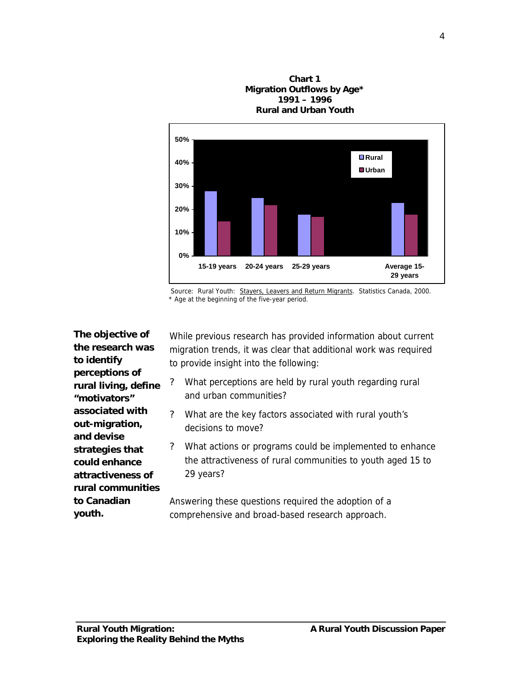**17% 18% 0% 10% 20% 30% 40% 50% 15-19 years 20-24 years 25-29 years Average 15- 29 years Rural Urban**

**Chart 1 Migration Outflows by Age\* 1991 – 1996 Rural and Urban Youth**

Source: Rural Youth: Stayers, Leavers and Return Migrants. Statistics Canada, 2000. \* Age at the beginning of the five-year period.

**The objective of the research was to identify perceptions of rural living, define "motivators" associated with out-migration, and devise strategies that could enhance attractiveness of rural communities to Canadian youth.**

While previous research has provided information about current migration trends, it was clear that additional work was required to provide insight into the following:

- ? What perceptions are held by rural youth regarding rural and urban communities?
- ? What are the key factors associated with rural youth's decisions to move?
- ? What actions or programs could be implemented to enhance the attractiveness of rural communities to youth aged 15 to 29 years?

Answering these questions required the adoption of a comprehensive and broad-based research approach.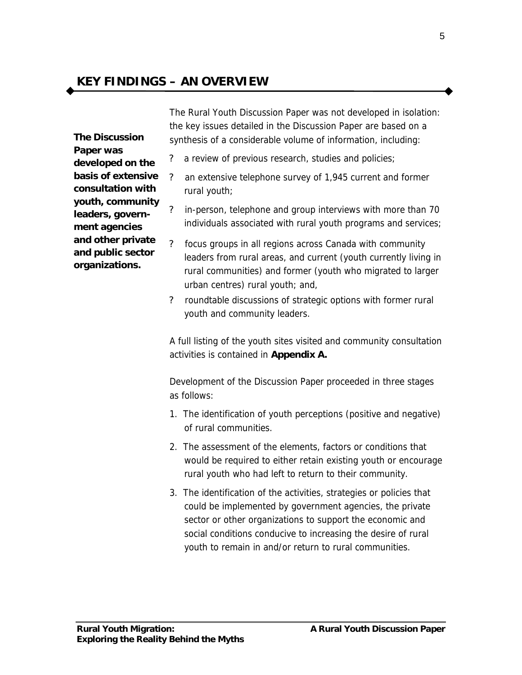## **KEY FINDINGS – AN OVERVIEW**

**The** *Discussion Paper* **was developed on the basis of extensive consultation with youth, community leaders, government agencies and other private and public sector organizations.**

The *Rural Youth Discussion Paper* was not developed in isolation: the key issues detailed in the *Discussion Paper* are based on a synthesis of a considerable volume of information, including:

- ? a review of previous research, studies and policies;
- ? an extensive telephone survey of 1,945 current and former rural youth;
- ? in-person, telephone and group interviews with more than 70 individuals associated with rural youth programs and services;
- ? focus groups in all regions across Canada with community leaders from rural areas, and current (youth currently living in rural communities) and former (youth who migrated to larger urban centres) rural youth; and,
- ? roundtable discussions of strategic options with former rural youth and community leaders.

A full listing of the youth sites visited and community consultation activities is contained in *Appendix A.*

Development of the *Discussion Paper* proceeded in three stages as follows:

- 1. The identification of youth perceptions (positive and negative) of rural communities.
- 2. The assessment of the elements, factors or conditions that would be required to either retain existing youth or encourage rural youth who had left to return to their community.
- 3. The identification of the activities, strategies or policies that could be implemented by government agencies, the private sector or other organizations to support the economic and social conditions conducive to increasing the desire of rural youth to remain in and/or return to rural communities.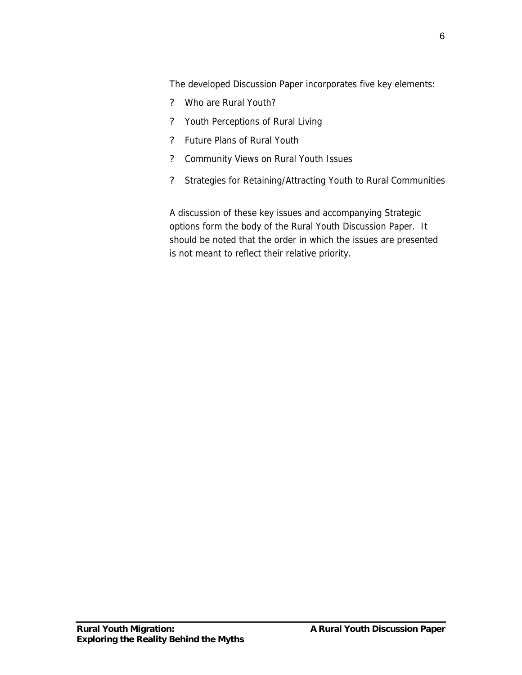The developed *Discussion Paper* incorporates five key elements:

- ? Who are Rural Youth?
- ? Youth Perceptions of Rural Living
- ? Future Plans of Rural Youth
- ? Community Views on Rural Youth Issues
- ? Strategies for Retaining/Attracting Youth to Rural Communities

A discussion of these key issues and accompanying Strategic options form the body of the *Rural Youth Discussion Paper*. It should be noted that the order in which the issues are presented is not meant to reflect their relative priority.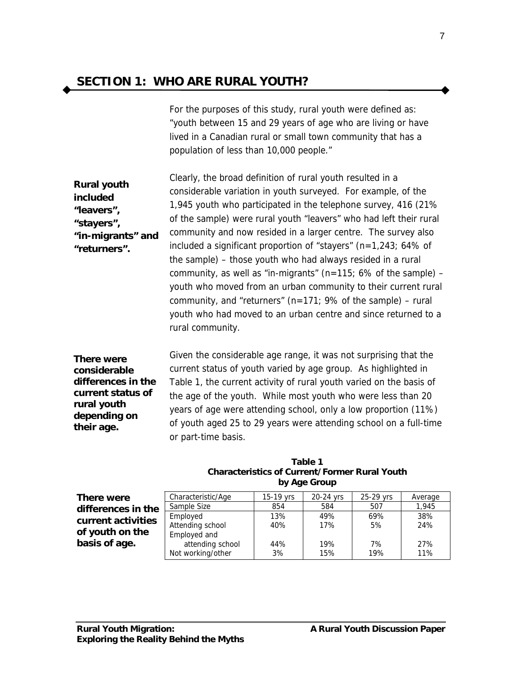For the purposes of this study, rural youth were defined as: "youth between 15 and 29 years of age who are living or have lived in a Canadian rural or small town community that has a population of less than 10,000 people."

**Rural youth included "leavers", "stayers", "in-migrants" and "returners".** Clearly, the broad definition of rural youth resulted in a considerable variation in youth surveyed. For example, of the 1,945 youth who participated in the telephone survey, 416 (21% of the sample) were rural youth "leavers" who had left their rural community and now resided in a larger centre. The survey also included a significant proportion of "stayers" (n=1,243; 64% of the sample) – those youth who had always resided in a rural community, as well as "in-migrants" ( $n=115$ ; 6% of the sample) – youth who moved from an urban community to their current rural community, and "returners" ( $n=171$ ; 9% of the sample) – rural youth who had moved to an urban centre and since returned to a rural community.

**There were considerable differences in the current status of rural youth depending on their age.**

Given the considerable age range, it was not surprising that the current status of youth varied by age group. As highlighted in Table 1, the current activity of rural youth varied on the basis of the age of the youth. While most youth who were less than 20 years of age were attending school, only a low proportion (11%) of youth aged 25 to 29 years were attending school on a full-time or part-time basis.

|                    | by Age Group       |             |           |           |         |  |
|--------------------|--------------------|-------------|-----------|-----------|---------|--|
| There were         | Characteristic/Age | $15-19$ yrs | 20-24 vrs | 25-29 vrs | Average |  |
| differences in the | Sample Size        | 854         | 584       | 507       | 1.945   |  |
| current activities | Employed           | 13%         | 49%       | 69%       | 38%     |  |
|                    | Attending school   | 40%         | 17%       | 5%        | 24%     |  |
| of youth on the    | Employed and       |             |           |           |         |  |
| basis of age.      | attending school   | 44%         | 19%       | 7%        | 27%     |  |
|                    | Not working/other  | 3%          | 15%       | 19%       | 11%     |  |

| Table 1                                       |
|-----------------------------------------------|
| Characteristics of Current/Former Rural Youth |
| by Age Group                                  |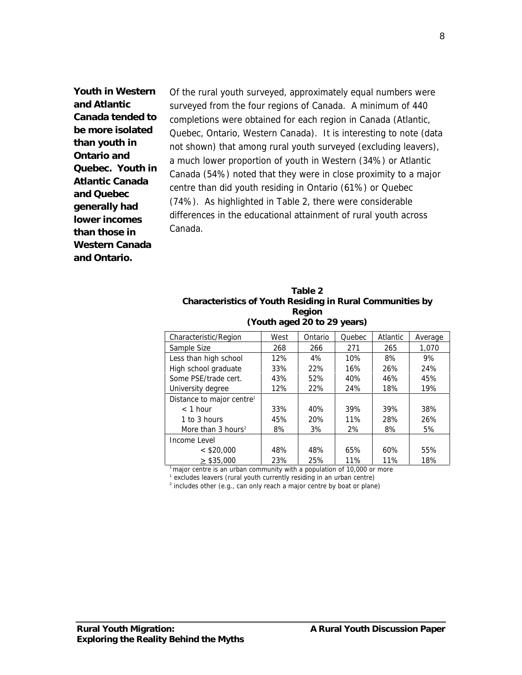**Youth in Western and Atlantic Canada tended to be more isolated than youth in Ontario and Quebec. Youth in Atlantic Canada and Quebec generally had lower incomes than those in Western Canada and Ontario.**

Of the rural youth surveyed, approximately equal numbers were surveyed from the four regions of Canada. A minimum of 440 completions were obtained for each region in Canada (Atlantic, Quebec, Ontario, Western Canada). It is interesting to note (data not shown) that among rural youth surveyed (excluding leavers), a much lower proportion of youth in Western (34%) or Atlantic Canada (54%) noted that they were in close proximity to a major centre than did youth residing in Ontario (61%) or Quebec (74%). As highlighted in Table 2, there were considerable differences in the educational attainment of rural youth across Canada.

| Table 2                                                   |
|-----------------------------------------------------------|
| Characteristics of Youth Residing in Rural Communities by |
| Region                                                    |
| (Youth aged 20 to 29 years)                               |

| Characteristic/Region                 | West | Ontario | Quebec | Atlantic | Average |
|---------------------------------------|------|---------|--------|----------|---------|
| Sample Size                           | 268  | 266     | 271    | 265      | 1,070   |
| Less than high school                 | 12%  | 4%      | 10%    | 8%       | 9%      |
| High school graduate                  | 33%  | 22%     | 16%    | 26%      | 24%     |
| Some PSE/trade cert.                  | 43%  | 52%     | 40%    | 46%      | 45%     |
| University degree                     | 12%  | 22%     | 24%    | 18%      | 19%     |
| Distance to major centre <sup>1</sup> |      |         |        |          |         |
| $<$ 1 hour                            | 33%  | 40%     | 39%    | 39%      | 38%     |
| 1 to 3 hours                          | 45%  | 20%     | 11%    | 28%      | 26%     |
| More than 3 hours <sup>2</sup>        | 8%   | 3%      | 2%     | 8%       | 5%      |
| Income Level                          |      |         |        |          |         |
| $<$ \$20,000                          | 48%  | 48%     | 65%    | 60%      | 55%     |
| $>$ \$35,000                          | 23%  | 25%     | 11%    | 11%      | 18%     |

 $1$ <sup>1</sup> major centre is an urban community with a population of 10,000 or more

<sup>1</sup> excludes leavers (rural youth currently residing in an urban centre)

 $2$  includes other (e.g., can only reach a major centre by boat or plane)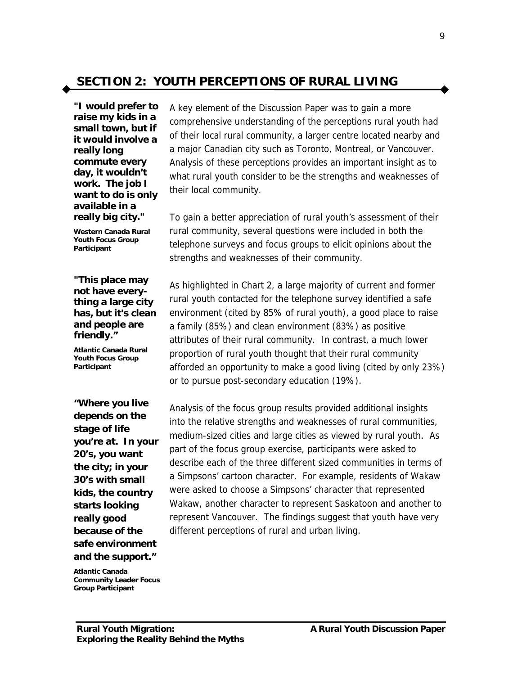## **SECTION 2: YOUTH PERCEPTIONS OF RURAL LIVING**

*"I would prefer to raise my kids in a small town, but if it would involve a really long commute every day, it wouldn't work. The job I want to do is only available in a really big city."*

*Western Canada Rural Youth Focus Group Participant*

#### *"This place may not have everything a large city has, but it's clean and people are friendly***."**

*Atlantic Canada Rural Youth Focus Group Participant*

*"Where you live depends on the stage of life you're at. In your 20's, you want the city; in your 30's with small kids, the country starts looking really good because of the safe environment and the support."*

A key element of the *Discussion Paper* was to gain a more comprehensive understanding of the perceptions rural youth had of their local rural community, a larger centre located nearby and a major Canadian city such as Toronto, Montreal, or Vancouver. Analysis of these perceptions provides an important insight as to what rural youth consider to be the strengths and weaknesses of their local community.

To gain a better appreciation of rural youth's assessment of their rural community, several questions were included in both the telephone surveys and focus groups to elicit opinions about the strengths and weaknesses of their community.

As highlighted in Chart 2, a large majority of current and former rural youth contacted for the telephone survey identified a safe environment (cited by 85% of rural youth), a good place to raise a family (85%) and clean environment (83%) as positive attributes of their rural community. In contrast, a much lower proportion of rural youth thought that their rural community afforded an opportunity to make a good living (cited by only 23%) or to pursue post-secondary education (19%).

Analysis of the focus group results provided additional insights into the relative strengths and weaknesses of rural communities, medium-sized cities and large cities as viewed by rural youth. As part of the focus group exercise, participants were asked to describe each of the three different sized communities in terms of a Simpsons' cartoon character. For example, residents of Wakaw were asked to choose a Simpsons' character that represented Wakaw, another character to represent Saskatoon and another to represent Vancouver. The findings suggest that youth have very different perceptions of rural and urban living.

*Atlantic Canada Community Leader Focus Group Participant*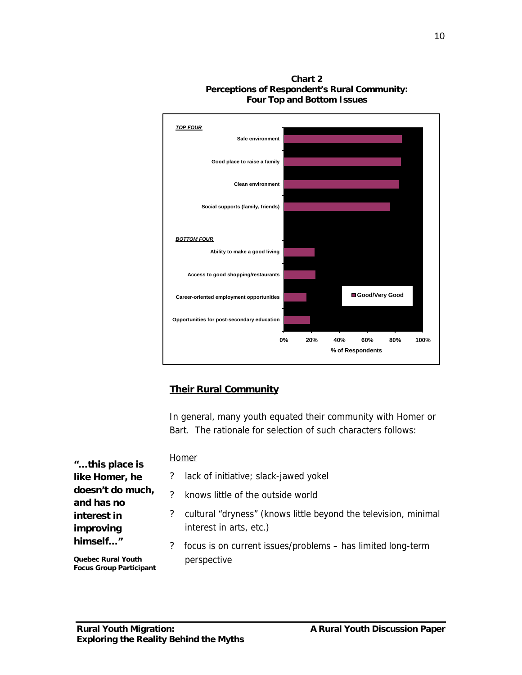

**Chart 2 Perceptions of Respondent's Rural Community: Four Top and Bottom Issues**

## **Their Rural Community**

In general, many youth equated their community with Homer or Bart. The rationale for selection of such characters follows:

|                                |                | Homer                                                                                      |
|--------------------------------|----------------|--------------------------------------------------------------------------------------------|
| " this place is                |                |                                                                                            |
| like Homer, he                 | $\overline{?}$ | lack of initiative; slack-jawed yokel                                                      |
| doesn't do much,<br>and has no | ?              | knows little of the outside world                                                          |
| interest in<br>improving       |                | cultural "dryness" (knows little beyond the television, minimal<br>interest in arts, etc.) |
| himself"                       | $\mathcal{P}$  | focus is on current issues/problems - has limited long-term                                |
| <b>Quebec Rural Youth</b>      |                | perspective                                                                                |

*Quebec Rural Youth Focus Group Participant*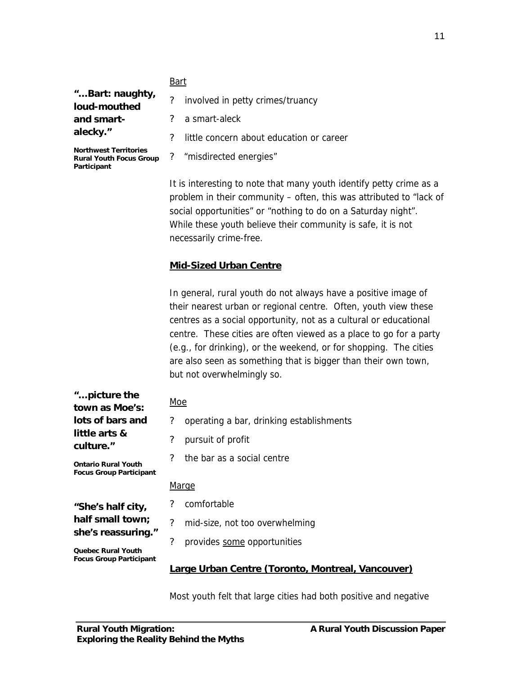#### Bart

*"… Bart: naughty, loud-mouthed and smartalecky."*

? a smart-aleck ? little concern about education or career ? "misdirected energies"

? involved in petty crimes/truancy

*Northwest Territories Rural Youth Focus Group Participant*

> It is interesting to note that many youth identify petty crime as a problem in their community – often, this was attributed to "lack of social opportunities" or "nothing to do on a Saturday night". While these youth believe their community is safe, it is not necessarily crime-free.

## **Mid-Sized Urban Centre**

In general, rural youth do not always have a positive image of their nearest urban or regional centre. Often, youth view these centres as a social opportunity, not as a cultural or educational centre. These cities are often viewed as a place to go for a party (e.g., for drinking), or the weekend, or for shopping. The cities are also seen as something that is bigger than their own town, but not overwhelmingly so.

| " picture the<br>town as Moe's:                              | Moe                      |                                                   |  |  |
|--------------------------------------------------------------|--------------------------|---------------------------------------------------|--|--|
| lots of bars and                                             | ?                        | operating a bar, drinking establishments          |  |  |
| little arts &<br>culture."                                   | ?                        | pursuit of profit                                 |  |  |
| <b>Ontario Rural Youth</b><br><b>Focus Group Participant</b> | ?                        | the bar as a social centre                        |  |  |
|                                                              | <u>Marge</u>             |                                                   |  |  |
| "She's half city,                                            | ?                        | comfortable                                       |  |  |
| half small town;<br>she's reassuring."                       | $\overline{\mathcal{L}}$ | mid-size, not too overwhelming                    |  |  |
| <b>Quebec Rural Youth</b>                                    | ?                        | provides some opportunities                       |  |  |
| <b>Focus Group Participant</b>                               |                          | Large Urban Centre (Toronto, Montreal, Vancouver) |  |  |

Most youth felt that large cities had both positive and negative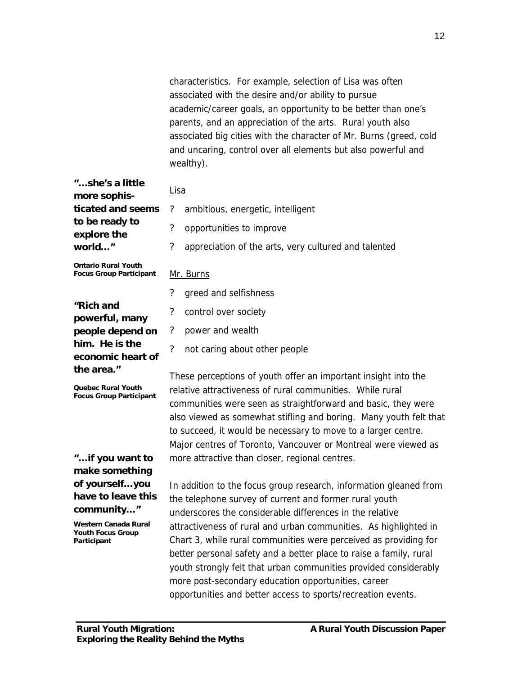characteristics. For example, selection of Lisa was often associated with the desire and/or ability to pursue academic/career goals, an opportunity to be better than one's parents, and an appreciation of the arts. Rural youth also associated big cities with the character of Mr. Burns (greed, cold and uncaring, control over all elements but also powerful and wealthy).

| " she's a little<br>more sophis-                             | Lisa                                                                                                                                 |  |  |  |  |
|--------------------------------------------------------------|--------------------------------------------------------------------------------------------------------------------------------------|--|--|--|--|
| ticated and seems                                            | $\overline{\mathcal{L}}$<br>ambitious, energetic, intelligent                                                                        |  |  |  |  |
| to be ready to<br>explore the                                | $\overline{\mathcal{C}}$<br>opportunities to improve                                                                                 |  |  |  |  |
| world"                                                       | $\overline{\mathcal{L}}$<br>appreciation of the arts, very cultured and talented                                                     |  |  |  |  |
| <b>Ontario Rural Youth</b><br><b>Focus Group Participant</b> | Mr. Burns                                                                                                                            |  |  |  |  |
|                                                              | $\overline{\mathcal{L}}$<br>greed and selfishness                                                                                    |  |  |  |  |
| "Rich and<br>powerful, many                                  | ?<br>control over society                                                                                                            |  |  |  |  |
| people depend on                                             | $\boldsymbol{?}$<br>power and wealth                                                                                                 |  |  |  |  |
| him. He is the<br>economic heart of                          | $\gamma$<br>not caring about other people                                                                                            |  |  |  |  |
| the area."                                                   | These perceptions of youth offer an important insight into the                                                                       |  |  |  |  |
| Quebec Rural Youth<br><b>Focus Group Participant</b>         | relative attractiveness of rural communities. While rural                                                                            |  |  |  |  |
|                                                              | communities were seen as straightforward and basic, they were                                                                        |  |  |  |  |
|                                                              | also viewed as somewhat stifling and boring. Many youth felt that                                                                    |  |  |  |  |
|                                                              | to succeed, it would be necessary to move to a larger centre.                                                                        |  |  |  |  |
|                                                              | Major centres of Toronto, Vancouver or Montreal were viewed as                                                                       |  |  |  |  |
| " if you want to                                             | more attractive than closer, regional centres.                                                                                       |  |  |  |  |
| make something                                               |                                                                                                                                      |  |  |  |  |
| of yourself you<br>have to leave this                        | In addition to the focus group research, information gleaned from                                                                    |  |  |  |  |
| community"                                                   | the telephone survey of current and former rural youth                                                                               |  |  |  |  |
| Western Canada Rural                                         | underscores the considerable differences in the relative                                                                             |  |  |  |  |
| <b>Youth Focus Group</b><br>Participant                      | attractiveness of rural and urban communities. As highlighted in<br>Chart 3, while rural communities were perceived as providing for |  |  |  |  |
|                                                              | better personal safety and a better place to raise a family, rural                                                                   |  |  |  |  |

youth strongly felt that urban communities provided considerably

more post-secondary education opportunities, career

opportunities and better access to sports/recreation events.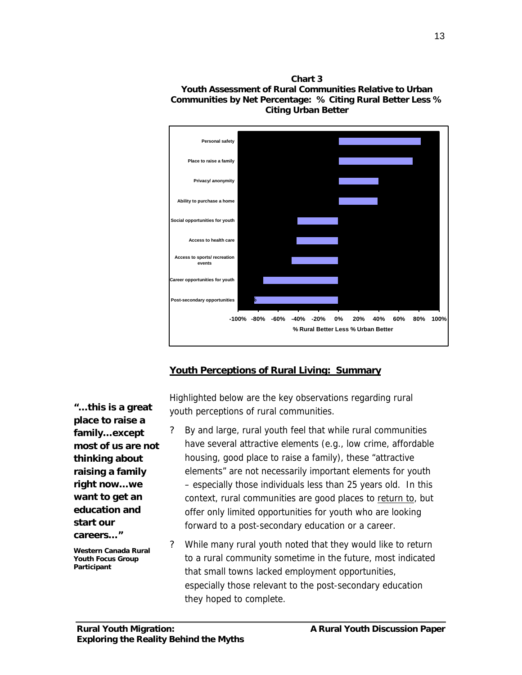



#### **Youth Perceptions of Rural Living: Summary**

*"… this is a great place to raise a family… except most of us are not thinking about raising a family right now… we want to get an education and start our careers… "*

*Western Canada Rural Youth Focus Group Participant*

Highlighted below are the key observations regarding rural youth perceptions of rural communities.

- ? By and large, rural youth feel that while rural communities have several attractive elements (e.g., low crime, affordable housing, good place to raise a family), these "attractive elements" are not necessarily important elements for youth – especially those individuals less than 25 years old. In this context, rural communities are good places to return to, but offer only limited opportunities for youth who are looking forward to a post-secondary education or a career.
- ? While many rural youth noted that they would like to return to a rural community sometime in the future, most indicated that small towns lacked employment opportunities, especially those relevant to the post-secondary education they hoped to complete.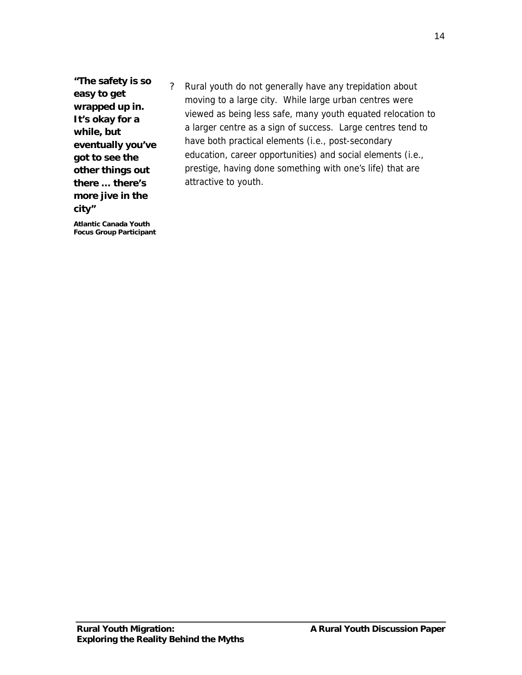*"The safety is so easy to get wrapped up in. It's okay for a while, but eventually you've got to see the other things out there … there's more jive in the city"*

*Atlantic Canada Youth Focus Group Participant* ? Rural youth do not generally have any trepidation about moving to a large city. While large urban centres were viewed as being less safe, many youth equated relocation to a larger centre as a sign of success. Large centres tend to have both practical elements (i.e., post-secondary education, career opportunities) and social elements (i.e., prestige, having done something with one's life) that are attractive to youth.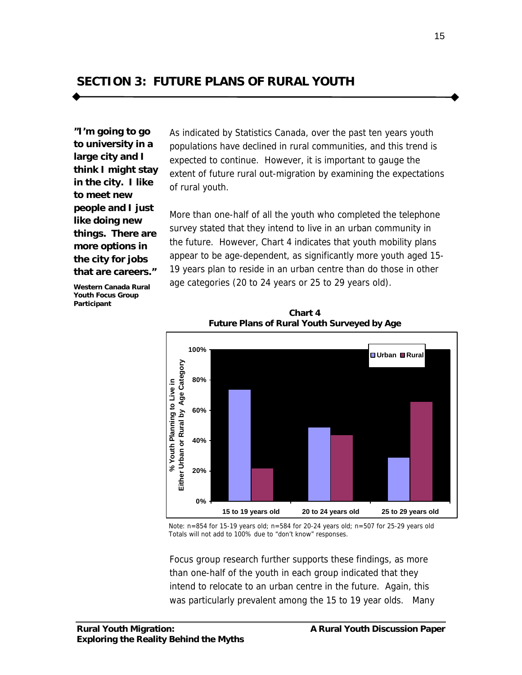**SECTION 3: FUTURE PLANS OF RURAL YOUTH**

*"I'm going to go to university in a large city and I think I might stay in the city. I like to meet new people and I just like doing new things. There are more options in the city for jobs that are careers."*

As indicated by Statistics Canada, over the past ten years youth populations have declined in rural communities, and this trend is expected to continue. However, it is important to gauge the extent of future rural out-migration by examining the expectations of rural youth.

More than one-half of all the youth who completed the telephone survey stated that they intend to live in an urban community in the future. However, Chart 4 indicates that youth mobility plans appear to be age-dependent, as significantly more youth aged 15- 19 years plan to reside in an urban centre than do those in other age categories (20 to 24 years or 25 to 29 years old).

*Western Canada Rural Youth Focus Group Participant*



**Chart 4 Future Plans of Rural Youth Surveyed by Age**

Note: n=854 for 15-19 years old; n=584 for 20-24 years old; n=507 for 25-29 years old Totals will not add to 100% due to "don't know" responses.

Focus group research further supports these findings, as more than one-half of the youth in each group indicated that they intend to relocate to an urban centre in the future. Again, this was particularly prevalent among the 15 to 19 year olds. Many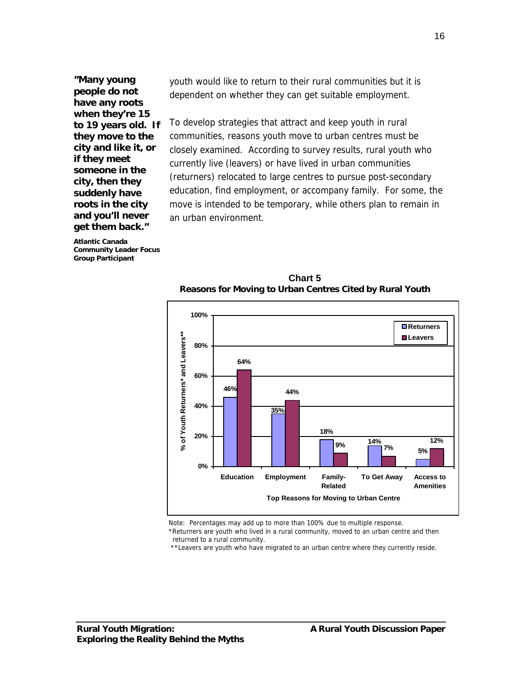*"Many young people do not have any roots when they're 15 to 19 years old. If they move to the city and like it, or if they meet someone in the city, then they suddenly have roots in the city and you'll never get them back."*

*Atlantic Canada Community Leader Focus Group Participant*

youth would like to return to their rural communities but it is dependent on whether they can get suitable employment.

To develop strategies that attract and keep youth in rural communities, reasons youth move to urban centres must be closely examined. According to survey results, rural youth who currently live (leavers) or have lived in urban communities (returners) relocated to large centres to pursue post-secondary education, find employment, or accompany family. For some, the move is intended to be temporary, while others plan to remain in an urban environment.

**100% Returners** of Youth Returners\* and Leavers\*\* **% of Youth Returners\* and Leavers\*\* Leavers80% 64% 60% 46% 44% 40% 35% 18% 20% 14% 12% 9% 7% 5% 0% Education Employment Family-To Get Away Access to Related Amenities Top Reasons for Moving to Urban Centre**

**Chart 5 Reasons for Moving to Urban Centres Cited by Rural Youth**

Note: Percentages may add up to more than 100% due to multiple response.

\*Returners are youth who lived in a rural community, moved to an urban centre and then returned to a rural community.

\*\*Leavers are youth who have migrated to an urban centre where they currently reside.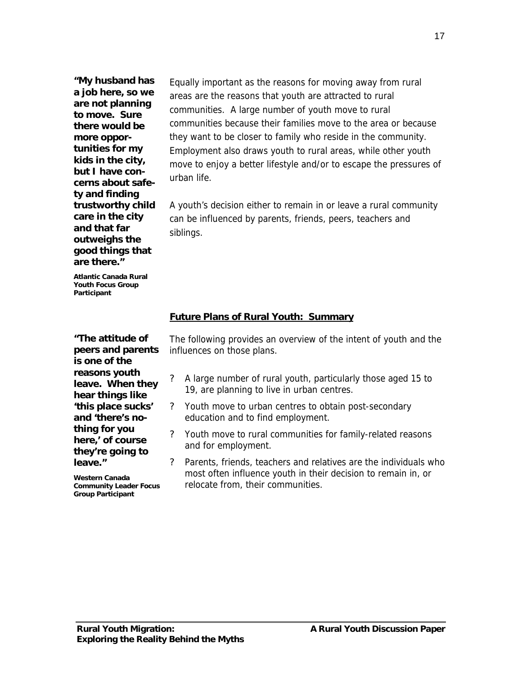*"My husband has a job here, so we are not planning to move. Sure there would be more opportunities for my kids in the city, but I have concerns about safety and finding trustworthy child care in the city and that far outweighs the good things that are there."*

*Atlantic Canada Rural Youth Focus Group Participant*

*"The attitude of peers and parents is one of the reasons youth leave. When they hear things like 'this place sucks' and 'there's nothing for you here,' of course they're going to leave."*

*Western Canada Community Leader Focus Group Participant*

Equally important as the reasons for moving away from rural areas are the reasons that youth are attracted to rural communities. A large number of youth move to rural communities because their families move to the area or because they want to be closer to family who reside in the community. Employment also draws youth to rural areas, while other youth move to enjoy a better lifestyle and/or to escape the pressures of urban life.

A youth's decision either to remain in or leave a rural community can be influenced by parents, friends, peers, teachers and siblings.

#### **Future Plans of Rural Youth: Summary**

The following provides an overview of the intent of youth and the influences on those plans.

- ? A large number of rural youth, particularly those aged 15 to 19, are planning to live in urban centres.
- ? Youth move to urban centres to obtain post-secondary education and to find employment.
- ? Youth move to rural communities for family-related reasons and for employment.
- ? Parents, friends, teachers and relatives are the individuals who most often influence youth in their decision to remain in, or relocate from, their communities.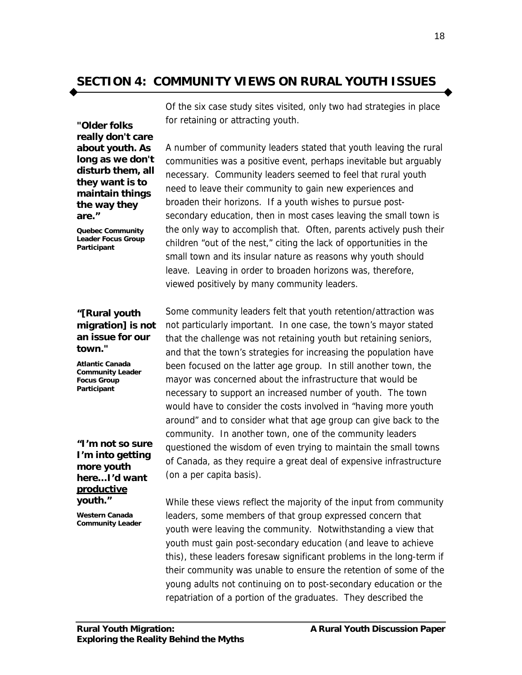# **SECTION 4: COMMUNITY VIEWS ON RURAL YOUTH ISSUES**

*"Older folks really don't care about youth. As long as we don't disturb them, all they want is to maintain things the way they are."*

*Quebec Community Leader Focus Group Participant*

#### *"[Rural youth migration] is not an issue for our town."*

*Atlantic Canada Community Leader Focus Group Participant*

*"I'm not so sure I'm into getting more youth here… I'd want productive youth."*

*Western Canada Community Leader* Of the six case study sites visited, only two had strategies in place for retaining or attracting youth.

A number of community leaders stated that youth leaving the rural communities was a positive event, perhaps inevitable but arguably necessary. Community leaders seemed to feel that rural youth need to leave their community to gain new experiences and broaden their horizons. If a youth wishes to pursue postsecondary education, then in most cases leaving the small town is the only way to accomplish that. Often, parents actively push their children "out of the nest," citing the lack of opportunities in the small town and its insular nature as reasons why youth should leave. Leaving in order to broaden horizons was, therefore, viewed positively by many community leaders.

Some community leaders felt that youth retention/attraction was not particularly important. In one case, the town's mayor stated that the challenge was not retaining youth but retaining seniors, and that the town's strategies for increasing the population have been focused on the latter age group. In still another town, the mayor was concerned about the infrastructure that would be necessary to support an increased number of youth. The town would have to consider the costs involved in "having more youth around" and to consider what that age group can give back to the community. In another town, one of the community leaders questioned the wisdom of even trying to maintain the small towns of Canada, as they require a great deal of expensive infrastructure (on a per capita basis).

While these views reflect the majority of the input from community leaders, some members of that group expressed concern that youth were leaving the community. Notwithstanding a view that youth must gain post-secondary education (and leave to achieve this), these leaders foresaw significant problems in the long-term if their community was unable to ensure the retention of some of the young adults not continuing on to post-secondary education or the repatriation of a portion of the graduates. They described the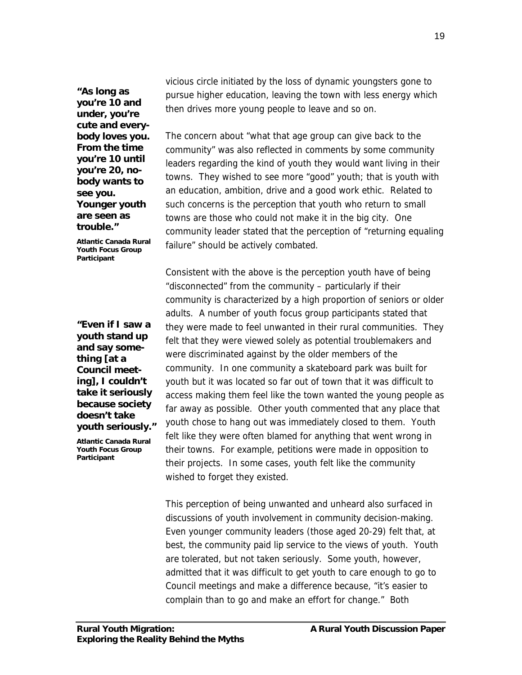*"As long as you're 10 and under, you're cute and everybody loves you. From the time you're 10 until you're 20, nobody wants to see you. Younger youth are seen as trouble."*

*Atlantic Canada Rural Youth Focus Group Participant*

*"Even if I saw a youth stand up and say something [at a Council meeting], I couldn't take it seriously because society doesn't take youth seriously."*

*Atlantic Canada Rural Youth Focus Group Participant*

vicious circle initiated by the loss of dynamic youngsters gone to pursue higher education, leaving the town with less energy which then drives more young people to leave and so on.

The concern about "what that age group can give back to the community" was also reflected in comments by some community leaders regarding the kind of youth they would want living in their towns. They wished to see more "good" youth; that is youth with an education, ambition, drive and a good work ethic. Related to such concerns is the perception that youth who return to small towns are those who could not make it in the big city. One community leader stated that the perception of "returning equaling failure" should be actively combated.

Consistent with the above is the perception youth have of being "disconnected" from the community – particularly if their community is characterized by a high proportion of seniors or older adults. A number of youth focus group participants stated that they were made to feel unwanted in their rural communities. They felt that they were viewed solely as potential troublemakers and were discriminated against by the older members of the community. In one community a skateboard park was built for youth but it was located so far out of town that it was difficult to access making them feel like the town wanted the young people as far away as possible. Other youth commented that any place that youth chose to hang out was immediately closed to them. Youth felt like they were often blamed for anything that went wrong in their towns. For example, petitions were made in opposition to their projects. In some cases, youth felt like the community wished to forget they existed.

This perception of being unwanted and unheard also surfaced in discussions of youth involvement in community decision-making. Even younger community leaders (those aged 20-29) felt that, at best, the community paid lip service to the views of youth. Youth are tolerated, but not taken seriously. Some youth, however, admitted that it was difficult to get youth to care enough to go to Council meetings and make a difference because, "it's easier to complain than to go and make an effort for change." Both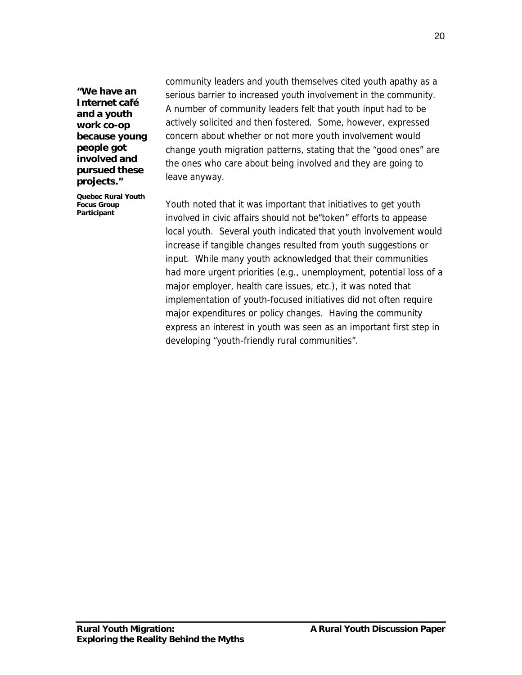*"We have an Internet café and a youth work co-op because young people got involved and pursued these projects."*

*Quebec Rural Youth Focus Group Participant*

community leaders and youth themselves cited youth apathy as a serious barrier to increased youth involvement in the community. A number of community leaders felt that youth input had to be actively solicited and then fostered. Some, however, expressed concern about whether or not more youth involvement would change youth migration patterns, stating that the "good ones" are the ones who care about being involved and they are going to leave anyway.

Youth noted that it was important that initiatives to get youth involved in civic affairs should not be"token" efforts to appease local youth. Several youth indicated that youth involvement would increase if tangible changes resulted from youth suggestions or input. While many youth acknowledged that their communities had more urgent priorities (e.g., unemployment, potential loss of a major employer, health care issues, etc.), it was noted that implementation of youth-focused initiatives did not often require major expenditures or policy changes. Having the community express an interest in youth was seen as an important first step in developing "youth-friendly rural communities".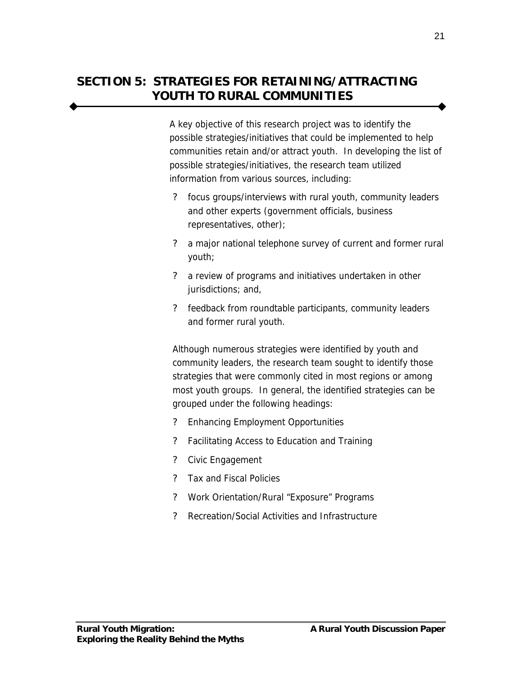# **SECTION 5: STRATEGIES FOR RETAINING/ATTRACTING YOUTH TO RURAL COMMUNITIES**

A key objective of this research project was to identify the possible strategies/initiatives that could be implemented to help communities retain and/or attract youth. In developing the list of possible strategies/initiatives, the research team utilized information from various sources, including:

- ? focus groups/interviews with rural youth, community leaders and other experts (government officials, business representatives, other);
- ? a major national telephone survey of current and former rural youth;
- ? a review of programs and initiatives undertaken in other jurisdictions; and,
- ? feedback from roundtable participants, community leaders and former rural youth.

Although numerous strategies were identified by youth and community leaders, the research team sought to identify those strategies that were commonly cited in most regions or among most youth groups. In general, the identified strategies can be grouped under the following headings:

- ? Enhancing Employment Opportunities
- ? Facilitating Access to Education and Training
- ? Civic Engagement
- ? Tax and Fiscal Policies
- ? Work Orientation/Rural "Exposure" Programs
- ? Recreation/Social Activities and Infrastructure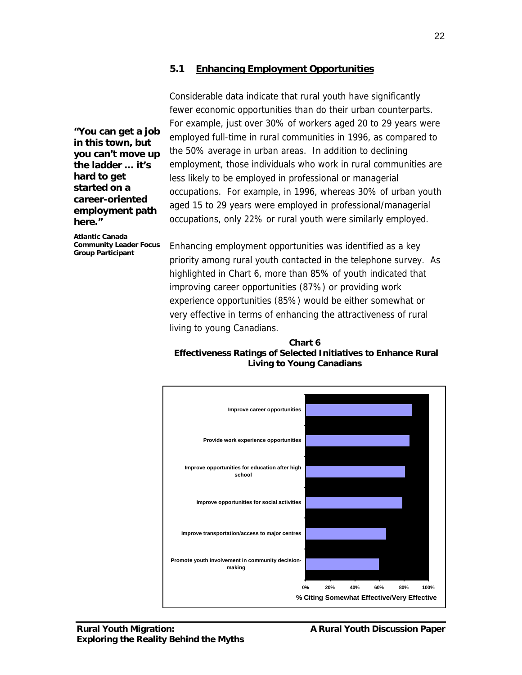#### **5.1 Enhancing Employment Opportunities**

Considerable data indicate that rural youth have significantly fewer economic opportunities than do their urban counterparts. For example, just over 30% of workers aged 20 to 29 years were employed full-time in rural communities in 1996, as compared to the 50% average in urban areas. In addition to declining employment, those individuals who work in rural communities are less likely to be employed in professional or managerial occupations. For example, in 1996, whereas 30% of urban youth aged 15 to 29 years were employed in professional/managerial occupations, only 22% or rural youth were similarly employed.

*"You can get a job in this town, but you can't move up the ladder … it's hard to get started on a career-oriented employment path here."*

*Atlantic Canada Community Leader Focus Group Participant*

Enhancing employment opportunities was identified as a key priority among rural youth contacted in the telephone survey. As highlighted in Chart 6, more than 85% of youth indicated that improving career opportunities (87%) or providing work experience opportunities (85%) would be either somewhat or very effective in terms of enhancing the attractiveness of rural living to young Canadians.

#### **Chart 6 Effectiveness Ratings of Selected Initiatives to Enhance Rural Living to Young Canadians**

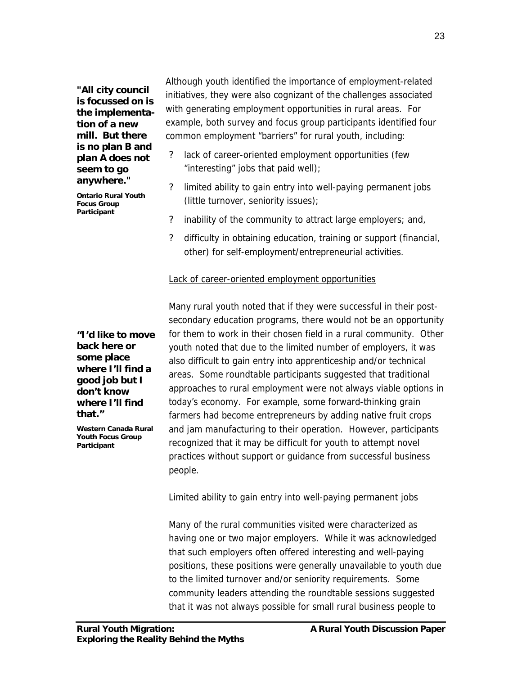*"All city council is focussed on is the implementation of a new mill. But there is no plan B and plan A does not seem to go anywhere."*

*Ontario Rural Youth Focus Group Participant*

Although youth identified the importance of employment-related initiatives, they were also cognizant of the challenges associated with generating employment opportunities in rural areas. For example, both survey and focus group participants identified four common employment "barriers" for rural youth, including:

- ? lack of career-oriented employment opportunities (few "interesting" jobs that paid well);
- ? limited ability to gain entry into well-paying permanent jobs (little turnover, seniority issues);
- ? inability of the community to attract large employers; and,
- ? difficulty in obtaining education, training or support (financial, other) for self-employment/entrepreneurial activities.

#### Lack of career-oriented employment opportunities

*"I'd like to move back here or some place where I'll find a good job but I don't know where I'll find that."*

*Western Canada Rural Youth Focus Group Participant*

Many rural youth noted that if they were successful in their postsecondary education programs, there would not be an opportunity for them to work in their chosen field in a rural community. Other youth noted that due to the limited number of employers, it was also difficult to gain entry into apprenticeship and/or technical areas. Some roundtable participants suggested that traditional approaches to rural employment were not always viable options in today's economy. For example, some forward-thinking grain farmers had become entrepreneurs by adding native fruit crops and jam manufacturing to their operation. However, participants recognized that it may be difficult for youth to attempt novel practices without support or guidance from successful business people.

## Limited ability to gain entry into well-paying permanent jobs

Many of the rural communities visited were characterized as having one or two major employers. While it was acknowledged that such employers often offered interesting and well-paying positions, these positions were generally unavailable to youth due to the limited turnover and/or seniority requirements. Some community leaders attending the roundtable sessions suggested that it was not always possible for small rural business people to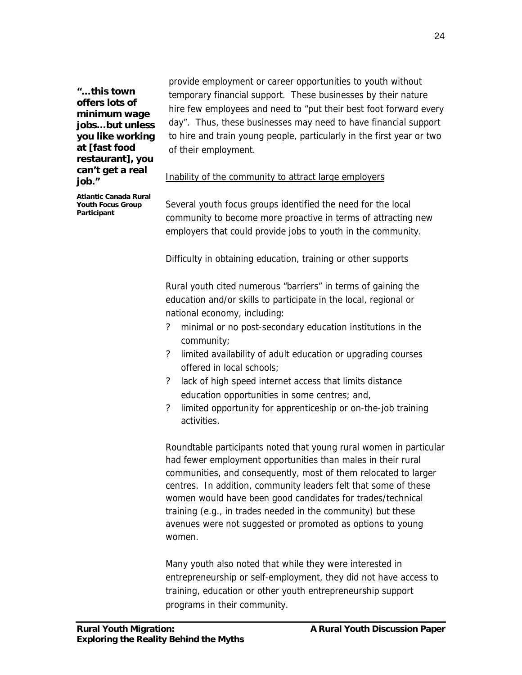*"… this town offers lots of minimum wage jobs… but unless you like working at [fast food restaurant], you can't get a real job."*

provide employment or career opportunities to youth without temporary financial support. These businesses by their nature hire few employees and need to "put their best foot forward every day". Thus, these businesses may need to have financial support to hire and train young people, particularly in the first year or two of their employment.

#### Inability of the community to attract large employers

*Atlantic Canada Rural Youth Focus Group Participant*

Several youth focus groups identified the need for the local community to become more proactive in terms of attracting new employers that could provide jobs to youth in the community.

#### Difficulty in obtaining education, training or other supports

Rural youth cited numerous "barriers" in terms of gaining the education and/or skills to participate in the local, regional or national economy, including:

- ? minimal or no post-secondary education institutions in the community;
- ? limited availability of adult education or upgrading courses offered in local schools;
- ? lack of high speed internet access that limits distance education opportunities in some centres; and,
- ? limited opportunity for apprenticeship or on-the-job training activities.

Roundtable participants noted that young rural women in particular had fewer employment opportunities than males in their rural communities, and consequently, most of them relocated to larger centres. In addition, community leaders felt that some of these women would have been good candidates for trades/technical training (e.g., in trades needed in the community) but these avenues were not suggested or promoted as options to young women.

Many youth also noted that while they were interested in entrepreneurship or self-employment, they did not have access to training, education or other youth entrepreneurship support programs in their community.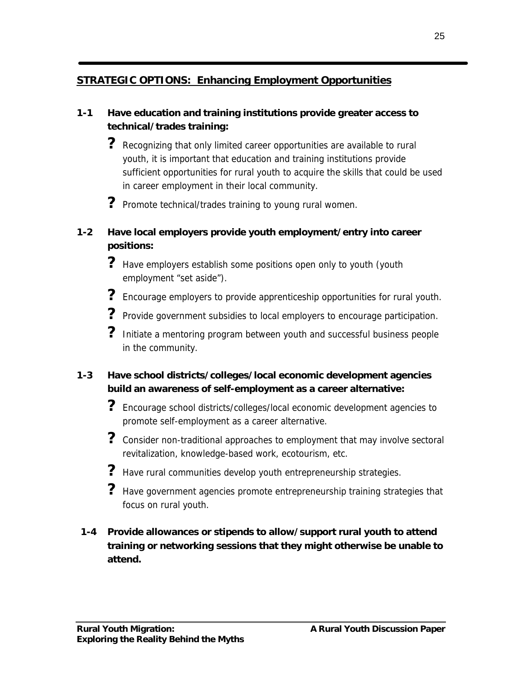# **STRATEGIC OPTIONS: Enhancing Employment Opportunities**

## **1-1 Have education and training institutions provide greater access to technical/trades training:**

- **?** Recognizing that only limited career opportunities are available to rural youth, it is important that education and training institutions provide sufficient opportunities for rural youth to acquire the skills that could be used in career employment in their local community.
- **?** Promote technical/trades training to young rural women.

## **1-2 Have local employers provide youth employment/entry into career positions:**

- ? Have employers establish some positions open only to youth (youth employment "set aside").
- **?** Encourage employers to provide apprenticeship opportunities for rural youth.
- ? Provide government subsidies to local employers to encourage participation.
- **?** Initiate a mentoring program between youth and successful business people in the community.

## **1-3 Have school districts/colleges/local economic development agencies build an awareness of self-employment as a career alternative:**

- **?** Encourage school districts/colleges/local economic development agencies to promote self-employment as a career alternative.
- ? Consider non-traditional approaches to employment that may involve sectoral revitalization, knowledge-based work, ecotourism, etc.
- ? Have rural communities develop youth entrepreneurship strategies.
- **?** Have government agencies promote entrepreneurship training strategies that focus on rural youth.

## **1-4 Provide allowances or stipends to allow/support rural youth to attend training or networking sessions that they might otherwise be unable to attend.**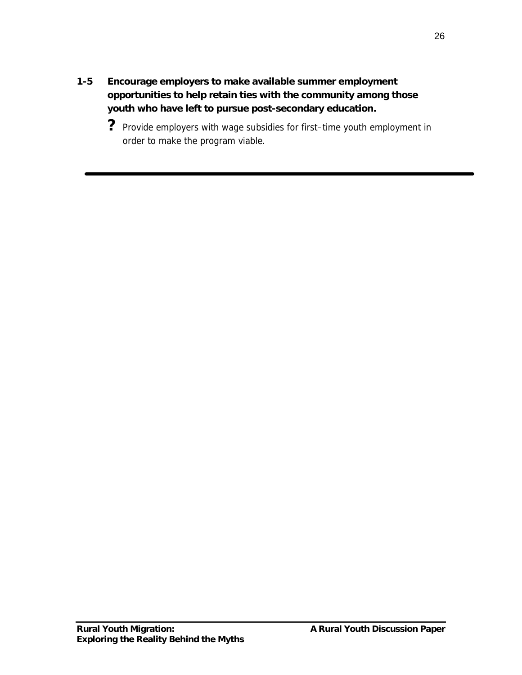**1-5 Encourage employers to make available summer employment opportunities to help retain ties with the community among those youth who have left to pursue post-secondary education.**

**?** Provide employers with wage subsidies for first–time youth employment in order to make the program viable.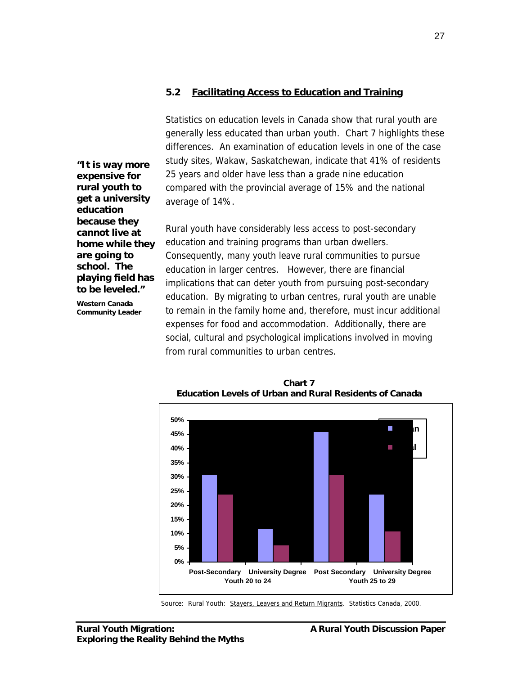#### **5.2 Facilitating Access to Education and Training**

Statistics on education levels in Canada show that rural youth are generally less educated than urban youth. Chart 7 highlights these differences. An examination of education levels in one of the case study sites, Wakaw, Saskatchewan, indicate that 41% of residents 25 years and older have less than a grade nine education compared with the provincial average of 15% and the national average of 14%.

Rural youth have considerably less access to post-secondary education and training programs than urban dwellers. Consequently, many youth leave rural communities to pursue education in larger centres. However, there are financial implications that can deter youth from pursuing post-secondary education. By migrating to urban centres, rural youth are unable to remain in the family home and, therefore, must incur additional expenses for food and accommodation. Additionally, there are social, cultural and psychological implications involved in moving from rural communities to urban centres.

*"It is way more expensive for rural youth to get a university education because they cannot live at home while they are going to school. The playing field has to be leveled."*

*Western Canada Community Leader*



**Chart 7 Education Levels of Urban and Rural Residents of Canada**

Source: Rural Youth: Stayers, Leavers and Return Migrants. Statistics Canada, 2000.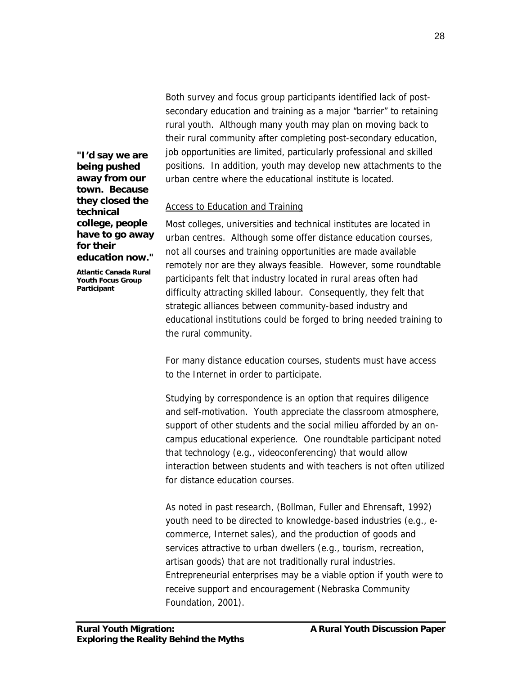Both survey and focus group participants identified lack of postsecondary education and training as a major "barrier" to retaining rural youth. Although many youth may plan on moving back to their rural community after completing post-secondary education, job opportunities are limited, particularly professional and skilled positions. In addition, youth may develop new attachments to the urban centre where the educational institute is located.

Access to Education and Training

Most colleges, universities and technical institutes are located in urban centres. Although some offer distance education courses, not all courses and training opportunities are made available remotely nor are they always feasible. However, some roundtable participants felt that industry located in rural areas often had difficulty attracting skilled labour. Consequently, they felt that strategic alliances between community-based industry and educational institutions could be forged to bring needed training to the rural community.

For many distance education courses, students must have access to the Internet in order to participate.

Studying by correspondence is an option that requires diligence and self-motivation. Youth appreciate the classroom atmosphere, support of other students and the social milieu afforded by an oncampus educational experience. One roundtable participant noted that technology (e.g., videoconferencing) that would allow interaction between students and with teachers is not often utilized for distance education courses.

As noted in past research, (Bollman, Fuller and Ehrensaft, 1992) youth need to be directed to knowledge-based industries (e.g., ecommerce, Internet sales), and the production of goods and services attractive to urban dwellers (e.g., tourism, recreation, artisan goods) that are not traditionally rural industries. Entrepreneurial enterprises may be a viable option if youth were to receive support and encouragement (Nebraska Community Foundation, 2001).

*"I'd say we are being pushed away from our town. Because they closed the technical college, people have to go away for their education now."*

*Atlantic Canada Rural Youth Focus Group Participant*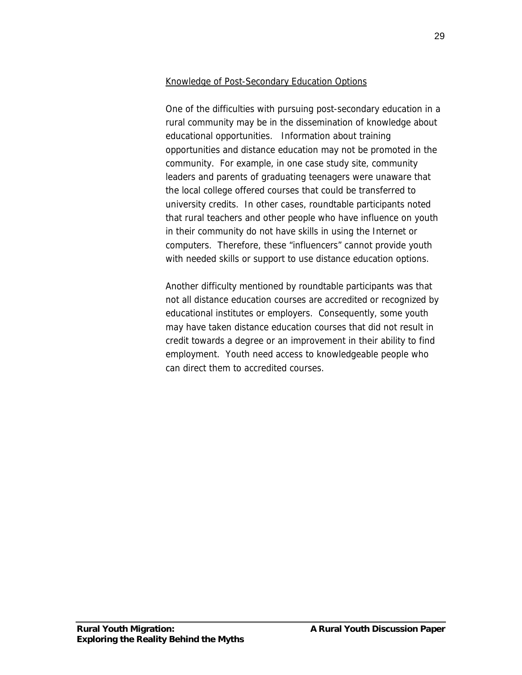## Knowledge of Post-Secondary Education Options

One of the difficulties with pursuing post-secondary education in a rural community may be in the dissemination of knowledge about educational opportunities. Information about training opportunities and distance education may not be promoted in the community. For example, in one case study site, community leaders and parents of graduating teenagers were unaware that the local college offered courses that could be transferred to university credits. In other cases, roundtable participants noted that rural teachers and other people who have influence on youth in their community do not have skills in using the Internet or computers. Therefore, these "influencers" cannot provide youth with needed skills or support to use distance education options.

Another difficulty mentioned by roundtable participants was that not all distance education courses are accredited or recognized by educational institutes or employers. Consequently, some youth may have taken distance education courses that did not result in credit towards a degree or an improvement in their ability to find employment. Youth need access to knowledgeable people who can direct them to accredited courses.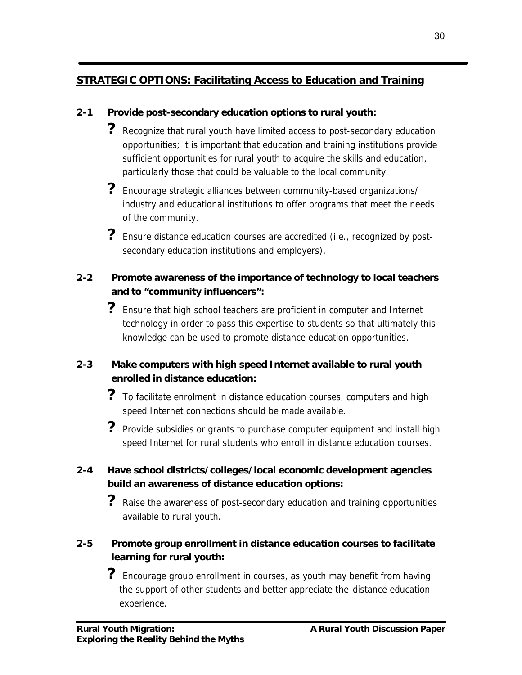# **STRATEGIC OPTIONS: Facilitating Access to Education and Training**

## **2-1 Provide post-secondary education options to rural youth:**

- **?** Recognize that rural youth have limited access to post-secondary education opportunities; it is important that education and training institutions provide sufficient opportunities for rural youth to acquire the skills and education, particularly those that could be valuable to the local community.
- **?** Encourage strategic alliances between community-based organizations/ industry and educational institutions to offer programs that meet the needs of the community.
- **?** Ensure distance education courses are accredited (i.e., recognized by postsecondary education institutions and employers).

## **2-2 Promote awareness of the importance of technology to local teachers and to "community influencers":**

**?** Ensure that high school teachers are proficient in computer and Internet technology in order to pass this expertise to students so that ultimately this knowledge can be used to promote distance education opportunities.

## **2-3 Make computers with high speed Internet available to rural youth enrolled in distance education:**

- **?** To facilitate enrolment in distance education courses, computers and high speed Internet connections should be made available.
- **?** Provide subsidies or grants to purchase computer equipment and install high speed Internet for rural students who enroll in distance education courses.

## **2-4 Have school districts/colleges/local economic development agencies build an awareness of distance education options:**

**?** Raise the awareness of post-secondary education and training opportunities available to rural youth.

## **2-5 Promote group enrollment in distance education courses to facilitate learning for rural youth:**

**?** Encourage group enrollment in courses, as youth may benefit from having the support of other students and better appreciate the distance education experience.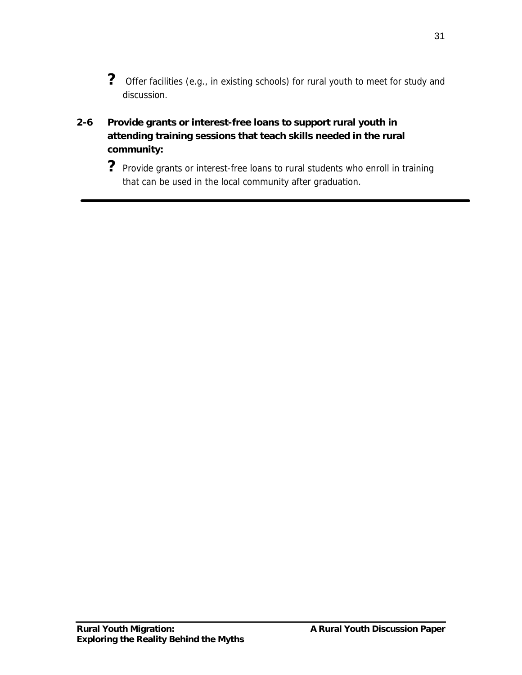- ? Offer facilities (e.g., in existing schools) for rural youth to meet for study and discussion.
- **2-6 Provide grants or interest-free loans to support rural youth in attending training sessions that teach skills needed in the rural community:**
	- ? Provide grants or interest-free loans to rural students who enroll in training that can be used in the local community after graduation.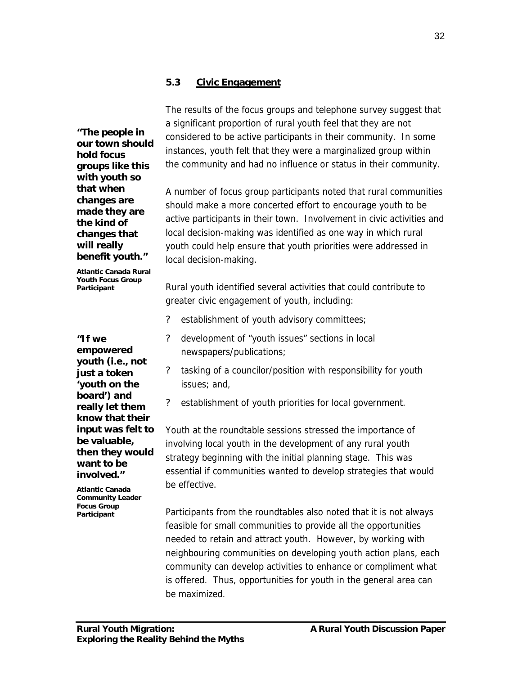*"The people in our town should hold focus groups like this with youth so that when changes are made they are the kind of changes that will really benefit youth."*

*Atlantic Canada Rural Youth Focus Group Participant*

*"If we empowered youth (i.e., not just a token 'youth on the board') and really let them know that their input was felt to be valuable, then they would want to be involved."*

*Atlantic Canada Community Leader Focus Group Participant*

The results of the focus groups and telephone survey suggest that a significant proportion of rural youth feel that they are not considered to be active participants in their community. In some instances, youth felt that they were a marginalized group within the community and had no influence or status in their community.

A number of focus group participants noted that rural communities should make a more concerted effort to encourage youth to be active participants in their town. Involvement in civic activities and local decision-making was identified as one way in which rural youth could help ensure that youth priorities were addressed in local decision-making.

Rural youth identified several activities that could contribute to greater civic engagement of youth, including:

- establishment of youth advisory committees;
- ? development of "youth issues" sections in local newspapers/publications;
- ? tasking of a councilor/position with responsibility for youth issues; and,
- ? establishment of youth priorities for local government.

Youth at the roundtable sessions stressed the importance of involving local youth in the development of any rural youth strategy beginning with the initial planning stage. This was essential if communities wanted to develop strategies that would be effective.

Participants from the roundtables also noted that it is not always feasible for small communities to provide all the opportunities needed to retain and attract youth. However, by working with neighbouring communities on developing youth action plans, each community can develop activities to enhance or compliment what is offered. Thus, opportunities for youth in the general area can be maximized.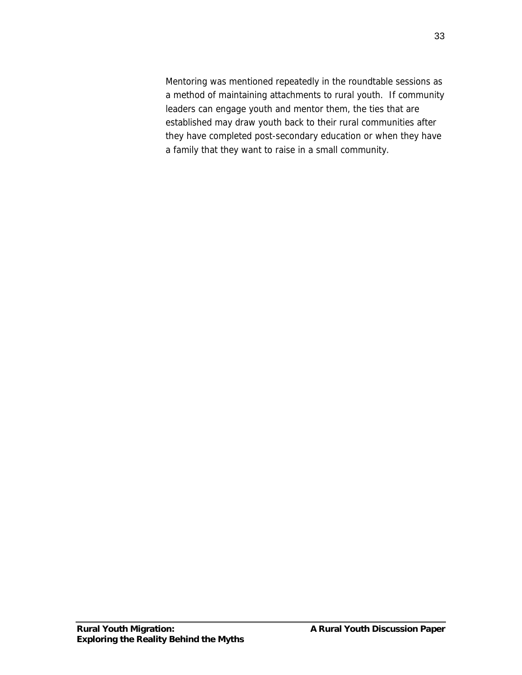Mentoring was mentioned repeatedly in the roundtable sessions as a method of maintaining attachments to rural youth. If community leaders can engage youth and mentor them, the ties that are established may draw youth back to their rural communities after they have completed post-secondary education or when they have a family that they want to raise in a small community.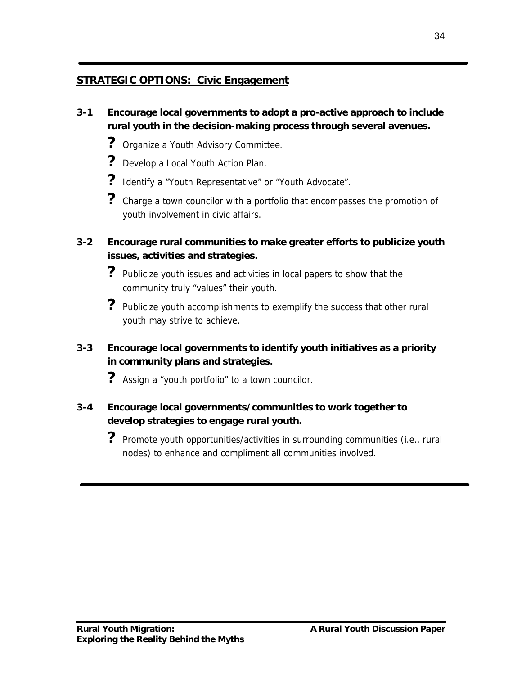## **STRATEGIC OPTIONS: Civic Engagement**

- **3-1 Encourage local governments to adopt a pro-active approach to include rural youth in the decision-making process through several avenues.**
	- **?** Organize a Youth Advisory Committee.
	- **?** Develop a Local Youth Action Plan.
	- **?** Identify a "Youth Representative" or "Youth Advocate".
	- **?** Charge a town councilor with a portfolio that encompasses the promotion of youth involvement in civic affairs.
- **3-2 Encourage rural communities to make greater efforts to publicize youth issues, activities and strategies.**
	- **?** Publicize youth issues and activities in local papers to show that the community truly "values" their youth.
	- **?** Publicize youth accomplishments to exemplify the success that other rural youth may strive to achieve.
- **3-3 Encourage local governments to identify youth initiatives as a priority in community plans and strategies.**
	- **?** Assign a "youth portfolio" to a town councilor.
- **3-4 Encourage local governments/communities to work together to develop strategies to engage rural youth.**
	- **?** Promote youth opportunities/activities in surrounding communities (i.e., rural nodes) to enhance and compliment all communities involved.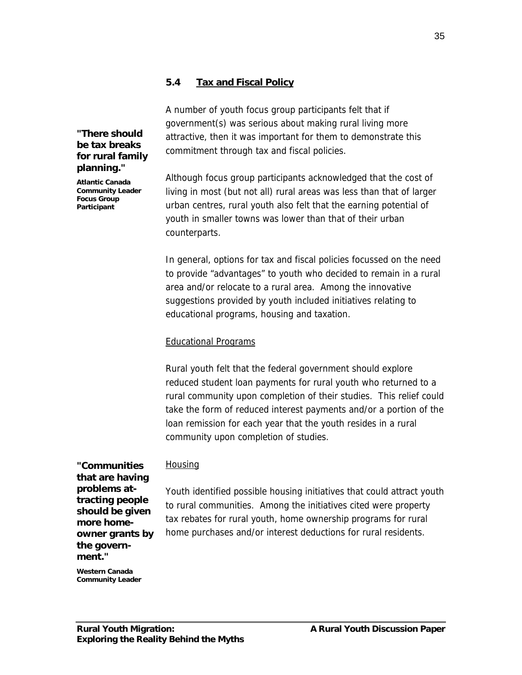#### **5.4 Tax and Fiscal Policy**

A number of youth focus group participants felt that if government(s) was serious about making rural living more attractive, then it was important for them to demonstrate this commitment through tax and fiscal policies.

Although focus group participants acknowledged that the cost of living in most (but not all) rural areas was less than that of larger urban centres, rural youth also felt that the earning potential of youth in smaller towns was lower than that of their urban counterparts.

In general, options for tax and fiscal policies focussed on the need to provide "advantages" to youth who decided to remain in a rural area and/or relocate to a rural area. Among the innovative suggestions provided by youth included initiatives relating to educational programs, housing and taxation.

#### Educational Programs

Rural youth felt that the federal government should explore reduced student loan payments for rural youth who returned to a rural community upon completion of their studies. This relief could take the form of reduced interest payments and/or a portion of the loan remission for each year that the youth resides in a rural community upon completion of studies.

*"Communities that are having problems attracting people should be given more homeowner grants by the government."*

*"There should be tax breaks for rural family planning." Atlantic Canada Community Leader Focus Group Participant*

#### **Housing**

Youth identified possible housing initiatives that could attract youth to rural communities. Among the initiatives cited were property tax rebates for rural youth, home ownership programs for rural home purchases and/or interest deductions for rural residents.

*Western Canada Community Leader*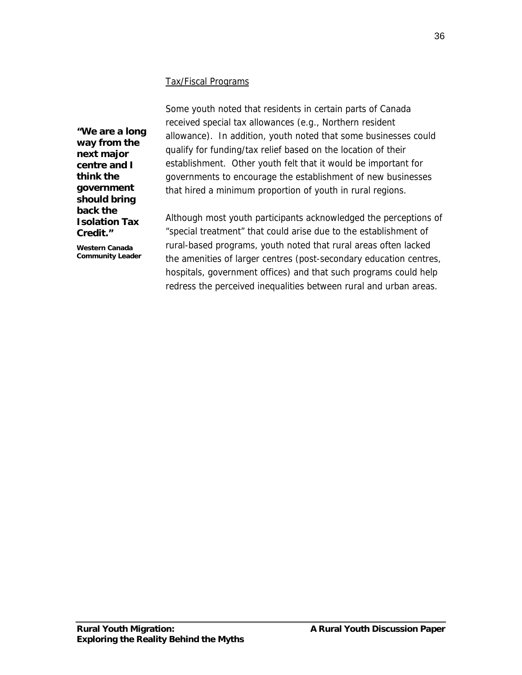#### Tax/Fiscal Programs

*"We are a long way from the next major centre and I think the government should bring back the Isolation Tax Credit."*

*Western Canada Community Leader* Some youth noted that residents in certain parts of Canada received special tax allowances (e.g., Northern resident allowance). In addition, youth noted that some businesses could qualify for funding/tax relief based on the location of their establishment. Other youth felt that it would be important for governments to encourage the establishment of new businesses that hired a minimum proportion of youth in rural regions.

Although most youth participants acknowledged the perceptions of "special treatment" that could arise due to the establishment of rural-based programs, youth noted that rural areas often lacked the amenities of larger centres (post-secondary education centres, hospitals, government offices) and that such programs could help redress the perceived inequalities between rural and urban areas.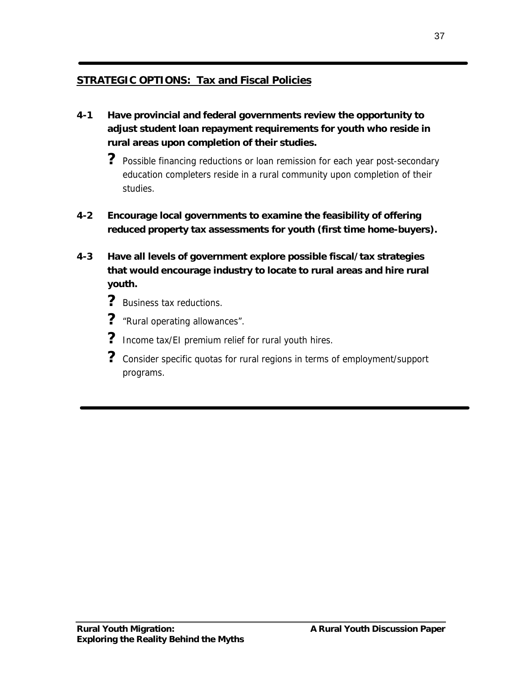## **STRATEGIC OPTIONS: Tax and Fiscal Policies**

- **4-1 Have provincial and federal governments review the opportunity to adjust student loan repayment requirements for youth who reside in rural areas upon completion of their studies.**
	- **?** Possible financing reductions or loan remission for each year post-secondary education completers reside in a rural community upon completion of their studies.
- **4-2 Encourage local governments to examine the feasibility of offering reduced property tax assessments for youth (first time home-buyers).**
- **4-3 Have all levels of government explore possible fiscal/tax strategies that would encourage industry to locate to rural areas and hire rural youth.**
	- ? Business tax reductions.
	- **?** "Rural operating allowances".
	- **?** Income tax/EI premium relief for rural youth hires.
	- **?** Consider specific quotas for rural regions in terms of employment/support programs.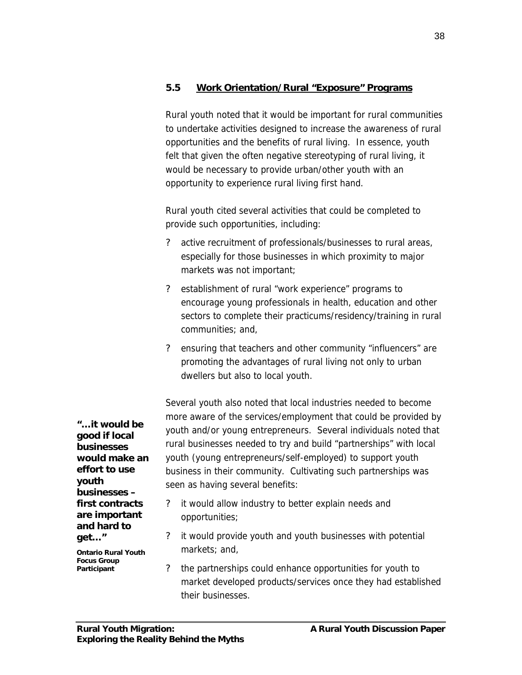#### **5.5 Work Orientation/Rural "Exposure" Programs**

Rural youth noted that it would be important for rural communities to undertake activities designed to increase the awareness of rural opportunities and the benefits of rural living. In essence, youth felt that given the often negative stereotyping of rural living, it would be necessary to provide urban/other youth with an opportunity to experience rural living first hand.

Rural youth cited several activities that could be completed to provide such opportunities, including:

- active recruitment of professionals/businesses to rural areas, especially for those businesses in which proximity to major markets was not important;
- ? establishment of rural "work experience" programs to encourage young professionals in health, education and other sectors to complete their practicums/residency/training in rural communities; and,
- ? ensuring that teachers and other community "influencers" are promoting the advantages of rural living not only to urban dwellers but also to local youth.

Several youth also noted that local industries needed to become more aware of the services/employment that could be provided by youth and/or young entrepreneurs. Several individuals noted that rural businesses needed to try and build "partnerships" with local youth (young entrepreneurs/self-employed) to support youth business in their community. Cultivating such partnerships was seen as having several benefits:

- it would allow industry to better explain needs and opportunities;
- ? it would provide youth and youth businesses with potential markets; and,
- ? the partnerships could enhance opportunities for youth to market developed products/services once they had established their businesses.

*good if local businesses would make an effort to use youth businesses – first contracts are important and hard to get… " Ontario Rural Youth*

*"… it would be*

*Focus Group Participant*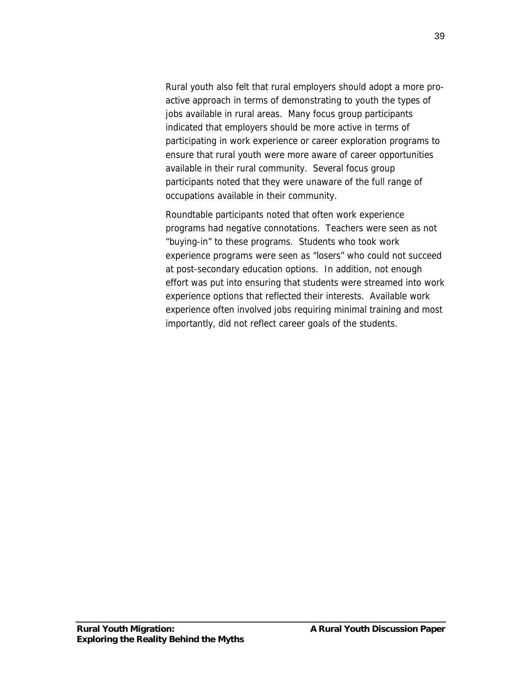Rural youth also felt that rural employers should adopt a more proactive approach in terms of demonstrating to youth the types of jobs available in rural areas. Many focus group participants indicated that employers should be more active in terms of participating in work experience or career exploration programs to ensure that rural youth were more aware of career opportunities available in their rural community. Several focus group participants noted that they were unaware of the full range of occupations available in their community.

Roundtable participants noted that often work experience programs had negative connotations. Teachers were seen as not "buying-in" to these programs. Students who took work experience programs were seen as "losers" who could not succeed at post-secondary education options. In addition, not enough effort was put into ensuring that students were streamed into work experience options that reflected their interests. Available work experience often involved jobs requiring minimal training and most importantly, did not reflect career goals of the students.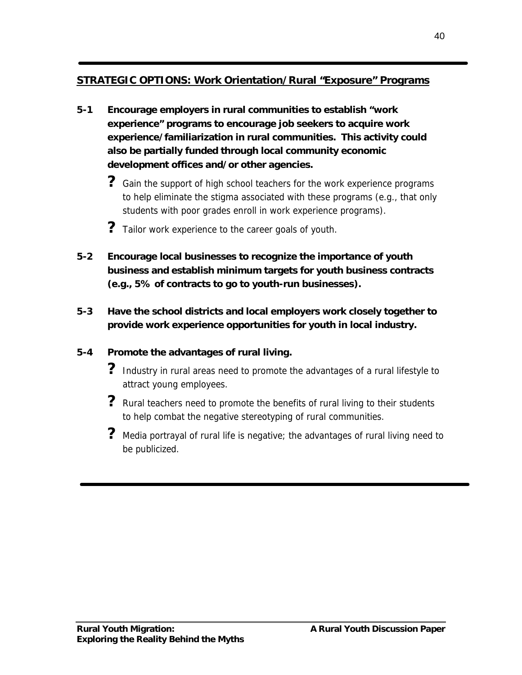## **STRATEGIC OPTIONS: Work Orientation/Rural "Exposure" Programs**

- **5-1 Encourage employers in rural communities to establish "work experience" programs to encourage job seekers to acquire work experience/familiarization in rural communities. This activity could also be partially funded through local community economic development offices and/or other agencies.**
	- ? Gain the support of high school teachers for the work experience programs to help eliminate the stigma associated with these programs (e.g., that only students with poor grades enroll in work experience programs).
	- **?** Tailor work experience to the career goals of youth.
- **5-2 Encourage local businesses to recognize the importance of youth business and establish minimum targets for youth business contracts (e.g., 5% of contracts to go to youth-run businesses).**
- **5-3 Have the school districts and local employers work closely together to provide work experience opportunities for youth in local industry.**

## **5-4 Promote the advantages of rural living.**

- **?** Industry in rural areas need to promote the advantages of a rural lifestyle to attract young employees.
- ? Rural teachers need to promote the benefits of rural living to their students to help combat the negative stereotyping of rural communities.
- ? Media portrayal of rural life is negative; the advantages of rural living need to be publicized.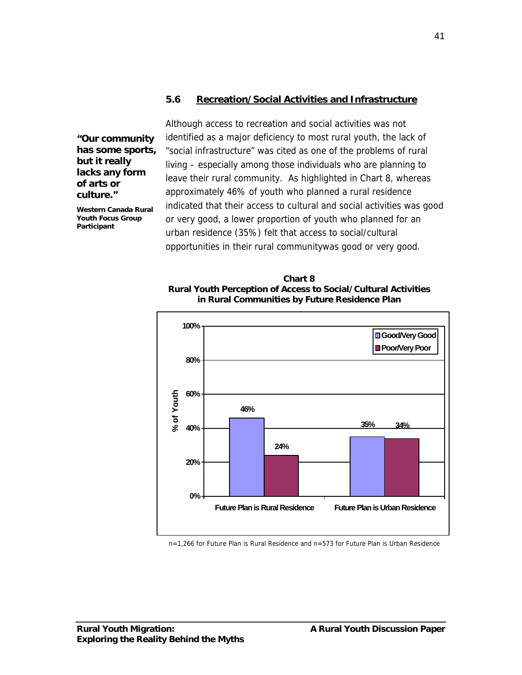#### **5.6 Recreation/Social Activities and Infrastructure**

*"Our community has some sports, but it really lacks any form of arts or culture."*

*Western Canada Rural Youth Focus Group Participant*

Although access to recreation and social activities was not identified as a major deficiency to most rural youth, the lack of "social infrastructure" was cited as one of the problems of rural living – especially among those individuals who are planning to leave their rural community. As highlighted in Chart 8, whereas approximately 46% of youth who planned a rural residence indicated that their access to cultural and social activities was good or very good, a lower proportion of youth who planned for an urban residence (35%) felt that access to social/cultural opportunities in their rural communitywas good or very good.

**Chart 8 Rural Youth Perception of Access to Social/Cultural Activities in Rural Communities by Future Residence Plan**



n=1,266 for Future Plan is Rural Residence and n=573 for Future Plan is Urban Residence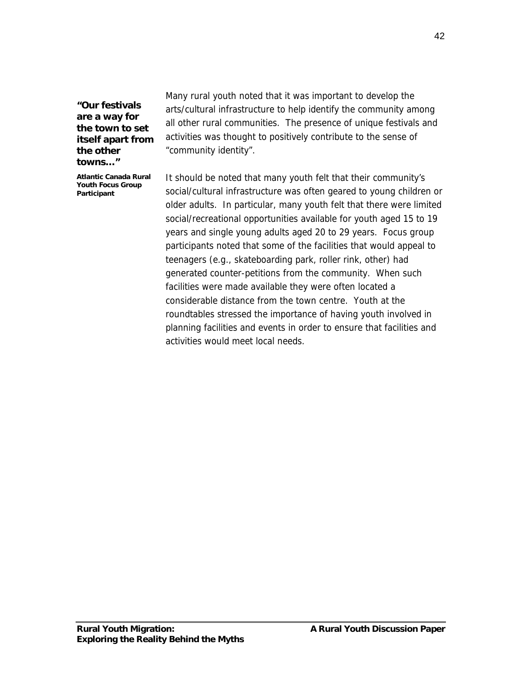*"Our festivals are a way for the town to set itself apart from the other towns… "*

*Atlantic Canada Rural Youth Focus Group Participant*

Many rural youth noted that it was important to develop the arts/cultural infrastructure to help identify the community among all other rural communities. The presence of unique festivals and activities was thought to positively contribute to the sense of "community identity".

It should be noted that many youth felt that their community's social/cultural infrastructure was often geared to young children or older adults. In particular, many youth felt that there were limited social/recreational opportunities available for youth aged 15 to 19 years and single young adults aged 20 to 29 years. Focus group participants noted that some of the facilities that would appeal to teenagers (e.g., skateboarding park, roller rink, other) had generated counter-petitions from the community. When such facilities were made available they were often located a considerable distance from the town centre. Youth at the roundtables stressed the importance of having youth involved in planning facilities and events in order to ensure that facilities and activities would meet local needs.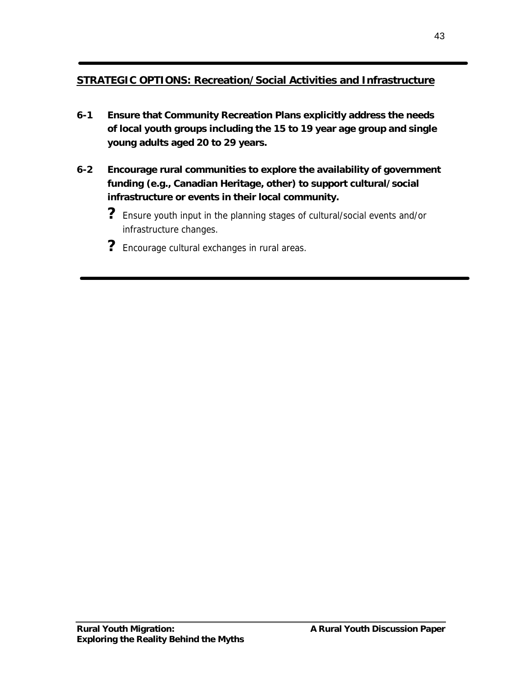# **STRATEGIC OPTIONS: Recreation/Social Activities and Infrastructure**

- **6-1 Ensure that Community Recreation Plans explicitly address the needs of local youth groups including the 15 to 19 year age group and single young adults aged 20 to 29 years.**
- **6-2 Encourage rural communities to explore the availability of government funding (e.g., Canadian Heritage, other) to support cultural/social infrastructure or events in their local community.**
	- **?** Ensure youth input in the planning stages of cultural/social events and/or infrastructure changes.
	- **?** Encourage cultural exchanges in rural areas.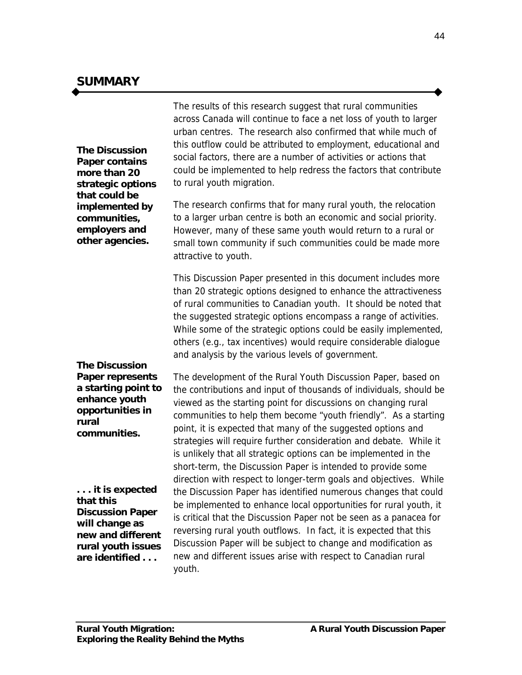**The** *Discussion Paper* **contains more than 20 strategic options that could be implemented by communities, employers and other agencies.**

**The** *Discussion Paper* **represents a starting point to enhance youth opportunities in rural communities.**

**. . . it is expected that this** *Discussion Paper* **will change as new and different rural youth issues are identified . . .**

The results of this research suggest that rural communities across Canada will continue to face a net loss of youth to larger urban centres. The research also confirmed that while much of this outflow could be attributed to employment, educational and social factors, there are a number of activities or actions that could be implemented to help redress the factors that contribute to rural youth migration.

The research confirms that for many rural youth, the relocation to a larger urban centre is both an economic and social priority. However, many of these same youth would return to a rural or small town community if such communities could be made more attractive to youth.

This *Discussion Paper* presented in this document includes more than 20 strategic options designed to enhance the attractiveness of rural communities to Canadian youth. It should be noted that the suggested strategic options encompass a range of activities. While some of the strategic options could be easily implemented, others (e.g., tax incentives) would require considerable dialogue and analysis by the various levels of government.

The development of *the Rural Youth Discussion Paper*, based on the contributions and input of thousands of individuals, should be viewed as the starting point for discussions on changing rural communities to help them become "youth friendly". As a starting point, it is expected that many of the suggested options and strategies will require further consideration and debate. While it is unlikely that all strategic options can be implemented in the short-term, the *Discussion Paper* is intended to provide some direction with respect to longer-term goals and objectives. While the *Discussion Paper* has identified numerous changes that could be implemented to enhance local opportunities for rural youth, it is critical that the *Discussion Paper* not be seen as a panacea for reversing rural youth outflows. In fact, it is expected that this *Discussion Paper* will be subject to change and modification as new and different issues arise with respect to Canadian rural youth.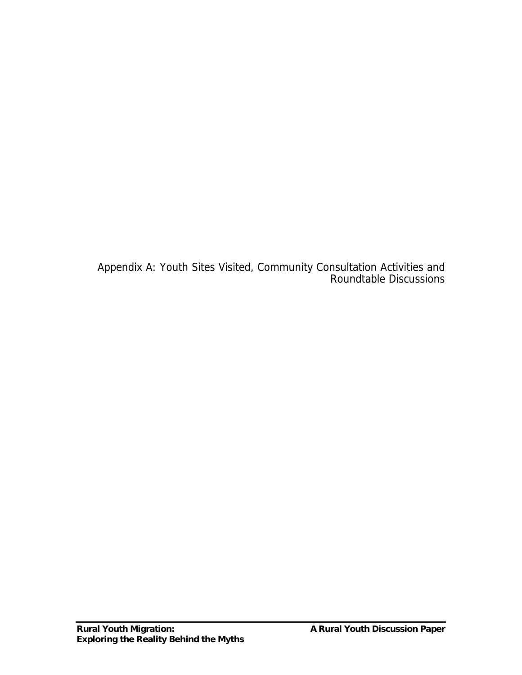Appendix A: Youth Sites Visited, Community Consultation Activities and Roundtable Discussions